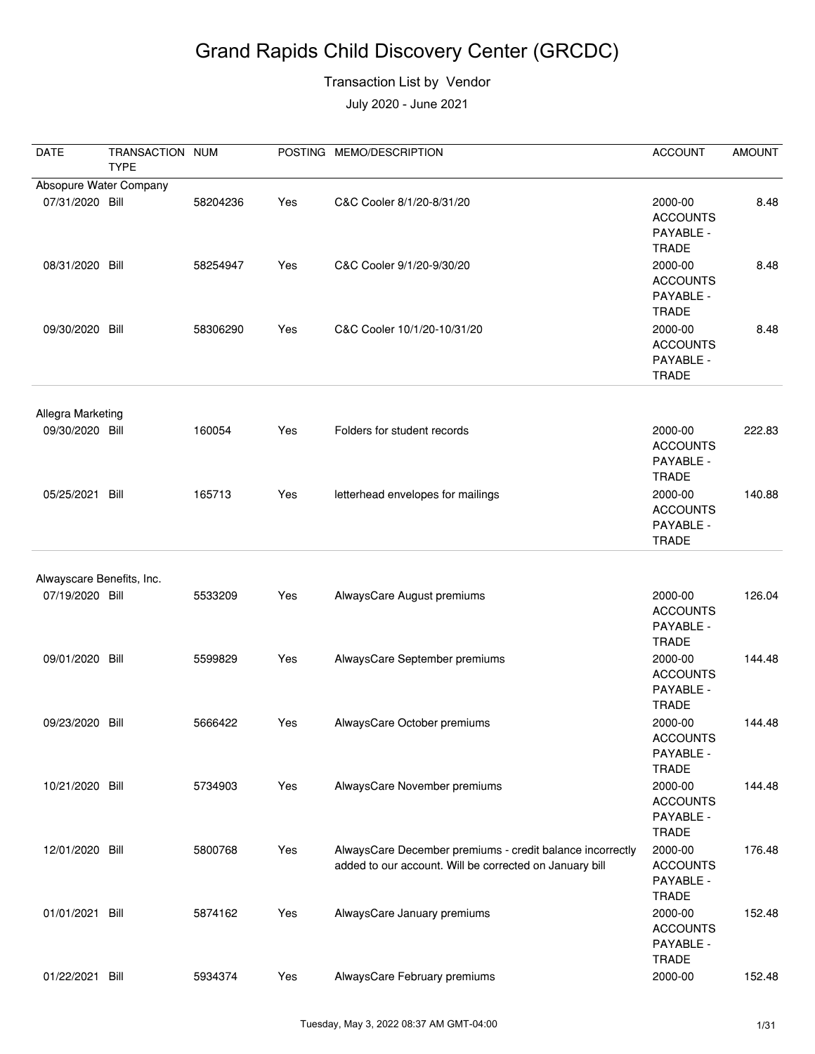#### Transaction List by Vendor

| <b>DATE</b>               | TRANSACTION NUM<br><b>TYPE</b> |          |     | POSTING MEMO/DESCRIPTION                                                                                             | <b>ACCOUNT</b>                                          | <b>AMOUNT</b> |
|---------------------------|--------------------------------|----------|-----|----------------------------------------------------------------------------------------------------------------------|---------------------------------------------------------|---------------|
| Absopure Water Company    |                                |          |     |                                                                                                                      |                                                         |               |
| 07/31/2020 Bill           |                                | 58204236 | Yes | C&C Cooler 8/1/20-8/31/20                                                                                            | 2000-00<br><b>ACCOUNTS</b><br>PAYABLE -<br><b>TRADE</b> | 8.48          |
| 08/31/2020 Bill           |                                | 58254947 | Yes | C&C Cooler 9/1/20-9/30/20                                                                                            | 2000-00<br><b>ACCOUNTS</b><br>PAYABLE -<br><b>TRADE</b> | 8.48          |
| 09/30/2020 Bill           |                                | 58306290 | Yes | C&C Cooler 10/1/20-10/31/20                                                                                          | 2000-00<br><b>ACCOUNTS</b><br>PAYABLE -<br><b>TRADE</b> | 8.48          |
| Allegra Marketing         |                                |          |     |                                                                                                                      |                                                         |               |
| 09/30/2020 Bill           |                                | 160054   | Yes | Folders for student records                                                                                          | 2000-00<br><b>ACCOUNTS</b><br>PAYABLE -<br><b>TRADE</b> | 222.83        |
| 05/25/2021 Bill           |                                | 165713   | Yes | letterhead envelopes for mailings                                                                                    | 2000-00<br><b>ACCOUNTS</b><br>PAYABLE -<br><b>TRADE</b> | 140.88        |
| Alwayscare Benefits, Inc. |                                |          |     |                                                                                                                      |                                                         |               |
| 07/19/2020 Bill           |                                | 5533209  | Yes | AlwaysCare August premiums                                                                                           | 2000-00<br><b>ACCOUNTS</b><br>PAYABLE -<br><b>TRADE</b> | 126.04        |
| 09/01/2020 Bill           |                                | 5599829  | Yes | AlwaysCare September premiums                                                                                        | 2000-00<br><b>ACCOUNTS</b><br>PAYABLE -<br>TRADE        | 144.48        |
| 09/23/2020 Bill           |                                | 5666422  | Yes | AlwaysCare October premiums                                                                                          | 2000-00<br><b>ACCOUNTS</b><br>PAYABLE -<br><b>TRADE</b> | 144.48        |
| 10/21/2020 Bill           |                                | 5734903  | Yes | AlwaysCare November premiums                                                                                         | 2000-00<br><b>ACCOUNTS</b><br>PAYABLE -<br><b>TRADE</b> | 144.48        |
| 12/01/2020 Bill           |                                | 5800768  | Yes | AlwaysCare December premiums - credit balance incorrectly<br>added to our account. Will be corrected on January bill | 2000-00<br><b>ACCOUNTS</b><br>PAYABLE -<br><b>TRADE</b> | 176.48        |
| 01/01/2021 Bill           |                                | 5874162  | Yes | AlwaysCare January premiums                                                                                          | 2000-00<br><b>ACCOUNTS</b><br>PAYABLE -<br><b>TRADE</b> | 152.48        |
| 01/22/2021                | Bill                           | 5934374  | Yes | AlwaysCare February premiums                                                                                         | 2000-00                                                 | 152.48        |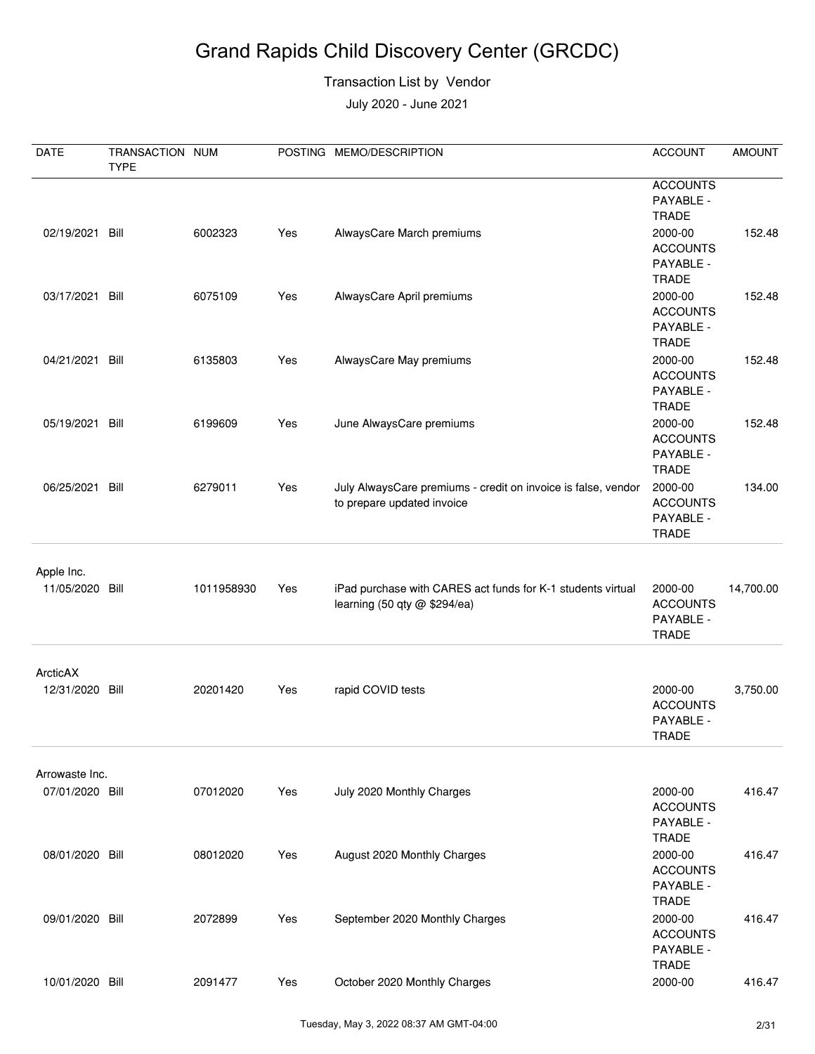#### Transaction List by Vendor

| DATE                          | TRANSACTION NUM<br><b>TYPE</b> |            |     | POSTING MEMO/DESCRIPTION                                                                    | <b>ACCOUNT</b>                                                             | <b>AMOUNT</b> |
|-------------------------------|--------------------------------|------------|-----|---------------------------------------------------------------------------------------------|----------------------------------------------------------------------------|---------------|
| 02/19/2021 Bill               |                                | 6002323    | Yes | AlwaysCare March premiums                                                                   | <b>ACCOUNTS</b><br>PAYABLE -<br><b>TRADE</b><br>2000-00<br><b>ACCOUNTS</b> | 152.48        |
| 03/17/2021                    | Bill                           | 6075109    | Yes | AlwaysCare April premiums                                                                   | PAYABLE -<br><b>TRADE</b><br>2000-00                                       | 152.48        |
|                               |                                |            |     |                                                                                             | <b>ACCOUNTS</b><br>PAYABLE -<br><b>TRADE</b>                               |               |
| 04/21/2021                    | Bill                           | 6135803    | Yes | AlwaysCare May premiums                                                                     | 2000-00<br><b>ACCOUNTS</b><br>PAYABLE -<br><b>TRADE</b>                    | 152.48        |
| 05/19/2021 Bill               |                                | 6199609    | Yes | June AlwaysCare premiums                                                                    | 2000-00<br><b>ACCOUNTS</b><br>PAYABLE -<br><b>TRADE</b>                    | 152.48        |
| 06/25/2021                    | Bill                           | 6279011    | Yes | July AlwaysCare premiums - credit on invoice is false, vendor<br>to prepare updated invoice | 2000-00<br><b>ACCOUNTS</b><br>PAYABLE -<br><b>TRADE</b>                    | 134.00        |
| Apple Inc.<br>11/05/2020 Bill |                                | 1011958930 | Yes | iPad purchase with CARES act funds for K-1 students virtual<br>learning (50 qty @ \$294/ea) | 2000-00<br><b>ACCOUNTS</b><br>PAYABLE -<br><b>TRADE</b>                    | 14,700.00     |
| ArcticAX                      |                                |            |     |                                                                                             |                                                                            |               |
| 12/31/2020                    | Bill                           | 20201420   | Yes | rapid COVID tests                                                                           | 2000-00<br><b>ACCOUNTS</b><br>PAYABLE -<br><b>TRADE</b>                    | 3,750.00      |
| Arrowaste Inc.                |                                |            |     |                                                                                             |                                                                            |               |
| 07/01/2020 Bill               |                                | 07012020   | Yes | July 2020 Monthly Charges                                                                   | 2000-00<br><b>ACCOUNTS</b><br>PAYABLE -<br><b>TRADE</b>                    | 416.47        |
| 08/01/2020 Bill               |                                | 08012020   | Yes | August 2020 Monthly Charges                                                                 | 2000-00<br><b>ACCOUNTS</b><br>PAYABLE -                                    | 416.47        |
| 09/01/2020 Bill               |                                | 2072899    | Yes | September 2020 Monthly Charges                                                              | <b>TRADE</b><br>2000-00<br><b>ACCOUNTS</b><br>PAYABLE -<br><b>TRADE</b>    | 416.47        |
| 10/01/2020 Bill               |                                | 2091477    | Yes | October 2020 Monthly Charges                                                                | 2000-00                                                                    | 416.47        |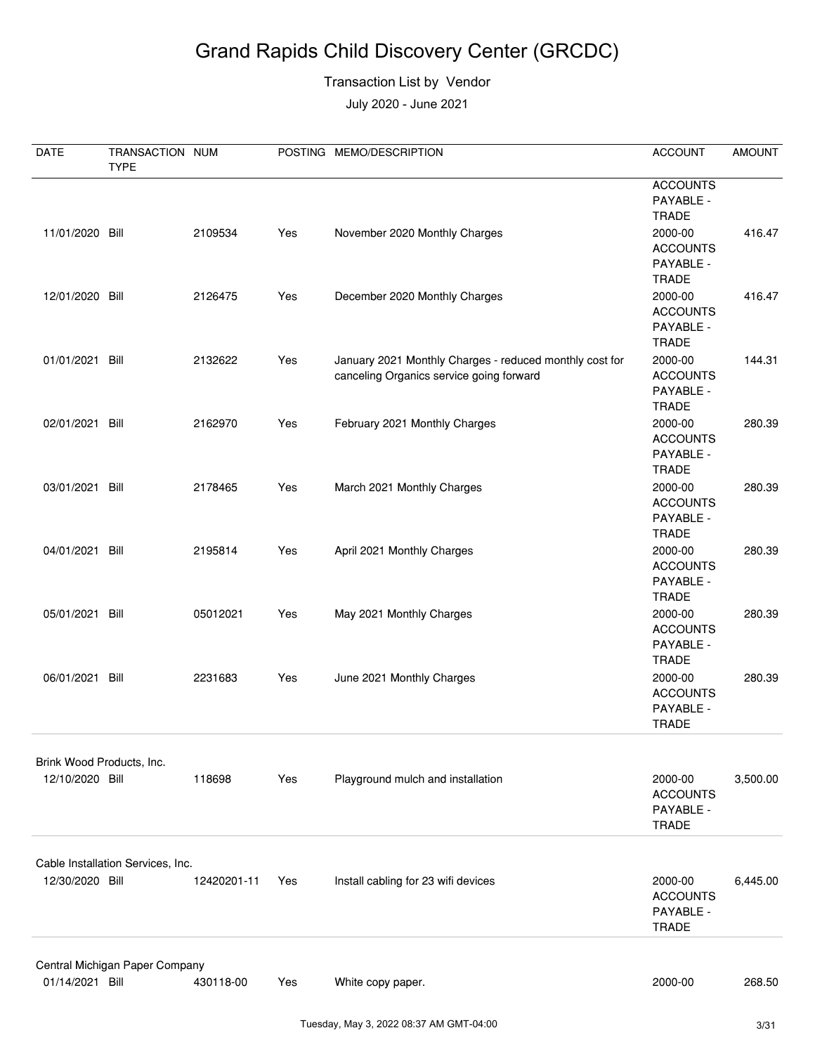#### Transaction List by Vendor

| DATE                                         | TRANSACTION NUM<br><b>TYPE</b>    |             |     | POSTING MEMO/DESCRIPTION                                                                            | <b>ACCOUNT</b>                                          | <b>AMOUNT</b> |
|----------------------------------------------|-----------------------------------|-------------|-----|-----------------------------------------------------------------------------------------------------|---------------------------------------------------------|---------------|
|                                              |                                   |             |     |                                                                                                     | <b>ACCOUNTS</b><br>PAYABLE -<br><b>TRADE</b>            |               |
| 11/01/2020 Bill                              |                                   | 2109534     | Yes | November 2020 Monthly Charges                                                                       | 2000-00<br><b>ACCOUNTS</b><br>PAYABLE -<br><b>TRADE</b> | 416.47        |
| 12/01/2020 Bill                              |                                   | 2126475     | Yes | December 2020 Monthly Charges                                                                       | 2000-00<br><b>ACCOUNTS</b><br>PAYABLE -<br><b>TRADE</b> | 416.47        |
| 01/01/2021 Bill                              |                                   | 2132622     | Yes | January 2021 Monthly Charges - reduced monthly cost for<br>canceling Organics service going forward | 2000-00<br><b>ACCOUNTS</b><br>PAYABLE -<br><b>TRADE</b> | 144.31        |
| 02/01/2021 Bill                              |                                   | 2162970     | Yes | February 2021 Monthly Charges                                                                       | 2000-00<br><b>ACCOUNTS</b><br>PAYABLE -<br><b>TRADE</b> | 280.39        |
| 03/01/2021 Bill                              |                                   | 2178465     | Yes | March 2021 Monthly Charges                                                                          | 2000-00<br><b>ACCOUNTS</b><br>PAYABLE -<br><b>TRADE</b> | 280.39        |
| 04/01/2021 Bill                              |                                   | 2195814     | Yes | April 2021 Monthly Charges                                                                          | 2000-00<br><b>ACCOUNTS</b><br>PAYABLE -<br><b>TRADE</b> | 280.39        |
| 05/01/2021 Bill                              |                                   | 05012021    | Yes | May 2021 Monthly Charges                                                                            | 2000-00<br><b>ACCOUNTS</b><br>PAYABLE -<br><b>TRADE</b> | 280.39        |
| 06/01/2021                                   | Bill                              | 2231683     | Yes | June 2021 Monthly Charges                                                                           | 2000-00<br><b>ACCOUNTS</b><br>PAYABLE -<br><b>TRADE</b> | 280.39        |
| Brink Wood Products, Inc.<br>12/10/2020 Bill |                                   | 118698      | Yes | Playground mulch and installation                                                                   | 2000-00<br><b>ACCOUNTS</b>                              | 3,500.00      |
|                                              |                                   |             |     |                                                                                                     | PAYABLE -<br><b>TRADE</b>                               |               |
| 12/30/2020 Bill                              | Cable Installation Services, Inc. | 12420201-11 | Yes | Install cabling for 23 wifi devices                                                                 | 2000-00<br><b>ACCOUNTS</b><br>PAYABLE -<br><b>TRADE</b> | 6,445.00      |
|                                              | Central Michigan Paper Company    |             |     |                                                                                                     |                                                         |               |
| 01/14/2021 Bill                              |                                   | 430118-00   | Yes | White copy paper.                                                                                   | 2000-00                                                 | 268.50        |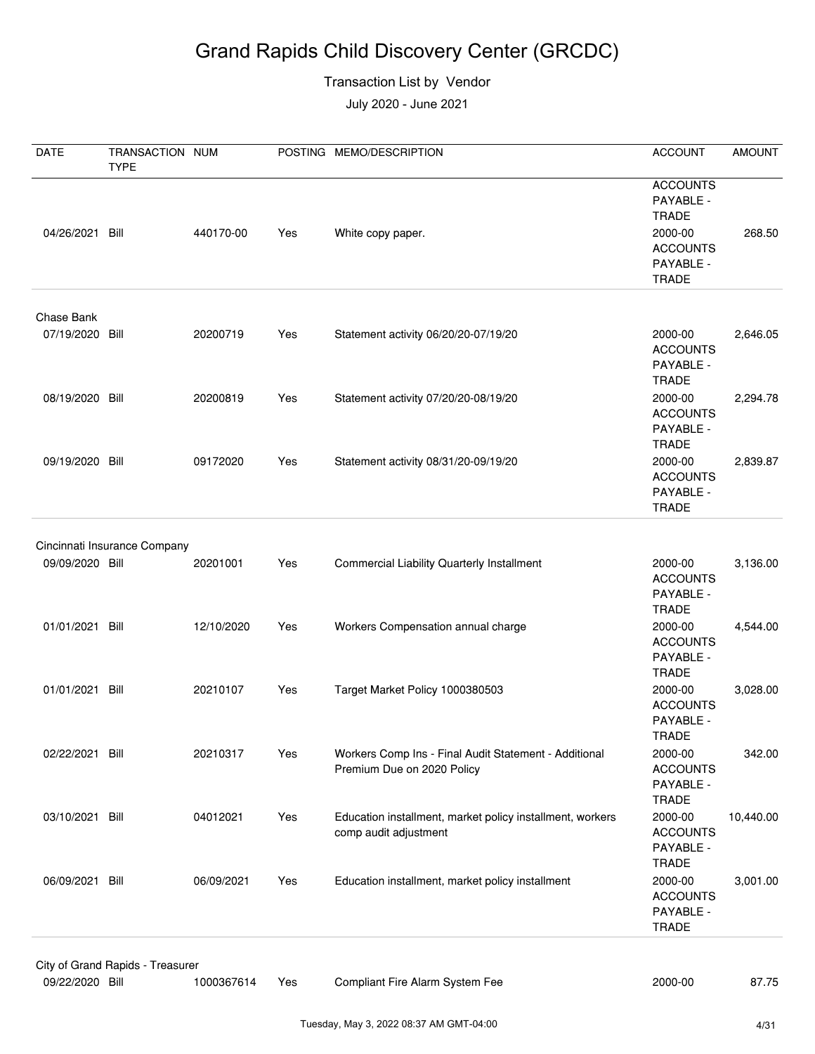#### Transaction List by Vendor

| <b>DATE</b>                   | TRANSACTION NUM<br><b>TYPE</b>   |            |     | POSTING MEMO/DESCRIPTION                                                            | <b>ACCOUNT</b>                                                                                   | <b>AMOUNT</b> |
|-------------------------------|----------------------------------|------------|-----|-------------------------------------------------------------------------------------|--------------------------------------------------------------------------------------------------|---------------|
| 04/26/2021 Bill               |                                  | 440170-00  | Yes | White copy paper.                                                                   | <b>ACCOUNTS</b><br>PAYABLE -<br><b>TRADE</b><br>2000-00<br><b>ACCOUNTS</b><br>PAYABLE -<br>TRADE | 268.50        |
|                               |                                  |            |     |                                                                                     |                                                                                                  |               |
| Chase Bank<br>07/19/2020 Bill |                                  | 20200719   | Yes | Statement activity 06/20/20-07/19/20                                                | 2000-00<br><b>ACCOUNTS</b><br>PAYABLE -<br><b>TRADE</b>                                          | 2,646.05      |
| 08/19/2020 Bill               |                                  | 20200819   | Yes | Statement activity 07/20/20-08/19/20                                                | 2000-00<br><b>ACCOUNTS</b><br>PAYABLE -<br><b>TRADE</b>                                          | 2,294.78      |
| 09/19/2020 Bill               |                                  | 09172020   | Yes | Statement activity 08/31/20-09/19/20                                                | 2000-00<br><b>ACCOUNTS</b><br>PAYABLE -<br><b>TRADE</b>                                          | 2,839.87      |
|                               | Cincinnati Insurance Company     |            |     |                                                                                     |                                                                                                  |               |
| 09/09/2020 Bill               |                                  | 20201001   | Yes | <b>Commercial Liability Quarterly Installment</b>                                   | 2000-00<br><b>ACCOUNTS</b><br>PAYABLE -<br><b>TRADE</b>                                          | 3,136.00      |
| 01/01/2021 Bill               |                                  | 12/10/2020 | Yes | Workers Compensation annual charge                                                  | 2000-00<br><b>ACCOUNTS</b><br>PAYABLE -<br><b>TRADE</b>                                          | 4,544.00      |
| 01/01/2021 Bill               |                                  | 20210107   | Yes | Target Market Policy 1000380503                                                     | 2000-00<br><b>ACCOUNTS</b><br>PAYABLE -<br><b>TRADE</b>                                          | 3,028.00      |
| 02/22/2021 Bill               |                                  | 20210317   | Yes | Workers Comp Ins - Final Audit Statement - Additional<br>Premium Due on 2020 Policy | 2000-00<br><b>ACCOUNTS</b><br>PAYABLE -<br><b>TRADE</b>                                          | 342.00        |
| 03/10/2021 Bill               |                                  | 04012021   | Yes | Education installment, market policy installment, workers<br>comp audit adjustment  | 2000-00<br><b>ACCOUNTS</b><br>PAYABLE -<br><b>TRADE</b>                                          | 10,440.00     |
| 06/09/2021 Bill               |                                  | 06/09/2021 | Yes | Education installment, market policy installment                                    | 2000-00<br><b>ACCOUNTS</b><br>PAYABLE -<br><b>TRADE</b>                                          | 3,001.00      |
|                               | City of Grand Rapids - Treasurer |            |     |                                                                                     |                                                                                                  |               |
| 09/22/2020 Bill               |                                  | 1000367614 | Yes | Compliant Fire Alarm System Fee                                                     | 2000-00                                                                                          | 87.75         |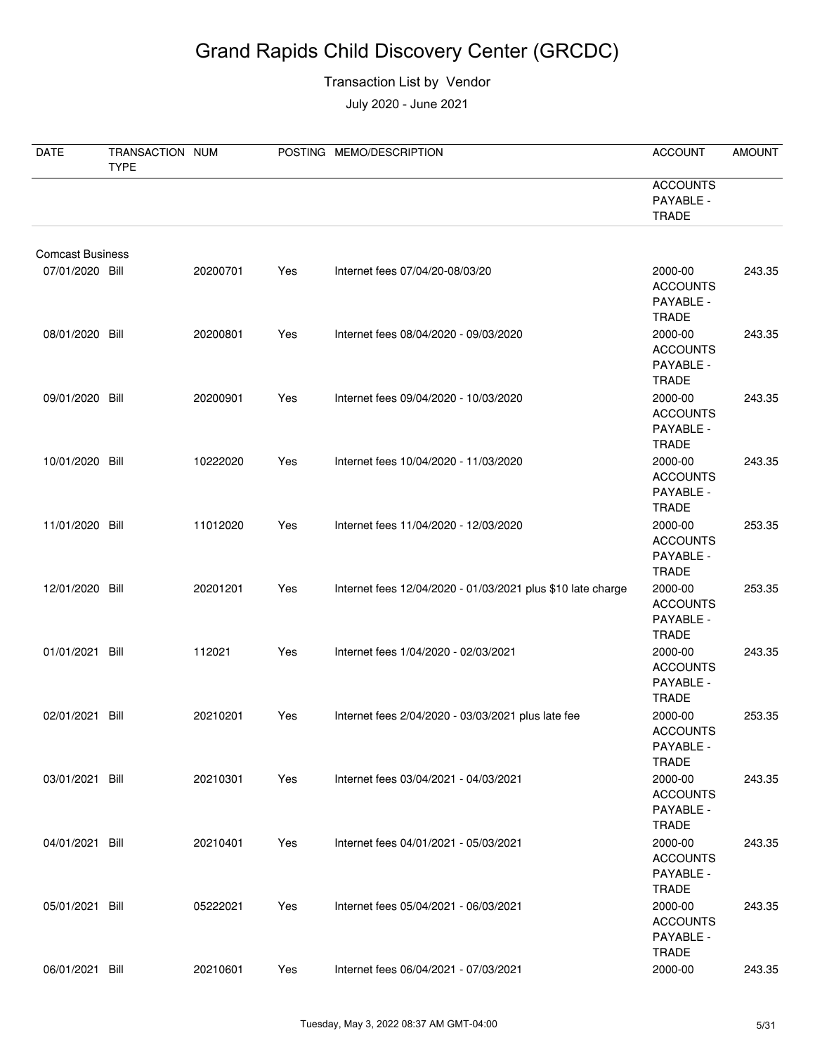#### Transaction List by Vendor

| DATE                    | TRANSACTION NUM<br><b>TYPE</b> |          |     | POSTING MEMO/DESCRIPTION                                    | <b>ACCOUNT</b>                                          | <b>AMOUNT</b> |
|-------------------------|--------------------------------|----------|-----|-------------------------------------------------------------|---------------------------------------------------------|---------------|
|                         |                                |          |     |                                                             | <b>ACCOUNTS</b><br>PAYABLE -<br><b>TRADE</b>            |               |
| <b>Comcast Business</b> |                                |          |     |                                                             |                                                         |               |
| 07/01/2020 Bill         |                                | 20200701 | Yes | Internet fees 07/04/20-08/03/20                             | 2000-00<br><b>ACCOUNTS</b><br>PAYABLE -<br><b>TRADE</b> | 243.35        |
| 08/01/2020 Bill         |                                | 20200801 | Yes | Internet fees 08/04/2020 - 09/03/2020                       | 2000-00<br><b>ACCOUNTS</b><br>PAYABLE -<br><b>TRADE</b> | 243.35        |
| 09/01/2020 Bill         |                                | 20200901 | Yes | Internet fees 09/04/2020 - 10/03/2020                       | 2000-00<br><b>ACCOUNTS</b><br>PAYABLE -<br><b>TRADE</b> | 243.35        |
| 10/01/2020 Bill         |                                | 10222020 | Yes | Internet fees 10/04/2020 - 11/03/2020                       | 2000-00<br><b>ACCOUNTS</b><br>PAYABLE -<br><b>TRADE</b> | 243.35        |
| 11/01/2020 Bill         |                                | 11012020 | Yes | Internet fees 11/04/2020 - 12/03/2020                       | 2000-00<br><b>ACCOUNTS</b><br>PAYABLE -<br><b>TRADE</b> | 253.35        |
| 12/01/2020 Bill         |                                | 20201201 | Yes | Internet fees 12/04/2020 - 01/03/2021 plus \$10 late charge | 2000-00<br><b>ACCOUNTS</b><br>PAYABLE -<br><b>TRADE</b> | 253.35        |
| 01/01/2021 Bill         |                                | 112021   | Yes | Internet fees 1/04/2020 - 02/03/2021                        | 2000-00<br><b>ACCOUNTS</b><br>PAYABLE -<br>TRADE        | 243.35        |
| 02/01/2021 Bill         |                                | 20210201 | Yes | Internet fees 2/04/2020 - 03/03/2021 plus late fee          | 2000-00<br><b>ACCOUNTS</b><br>PAYABLE -<br><b>TRADE</b> | 253.35        |
| 03/01/2021 Bill         |                                | 20210301 | Yes | Internet fees 03/04/2021 - 04/03/2021                       | 2000-00<br><b>ACCOUNTS</b><br>PAYABLE -<br><b>TRADE</b> | 243.35        |
| 04/01/2021 Bill         |                                | 20210401 | Yes | Internet fees 04/01/2021 - 05/03/2021                       | 2000-00<br><b>ACCOUNTS</b><br>PAYABLE -<br><b>TRADE</b> | 243.35        |
| 05/01/2021 Bill         |                                | 05222021 | Yes | Internet fees 05/04/2021 - 06/03/2021                       | 2000-00<br><b>ACCOUNTS</b><br>PAYABLE -<br><b>TRADE</b> | 243.35        |
| 06/01/2021 Bill         |                                | 20210601 | Yes | Internet fees 06/04/2021 - 07/03/2021                       | 2000-00                                                 | 243.35        |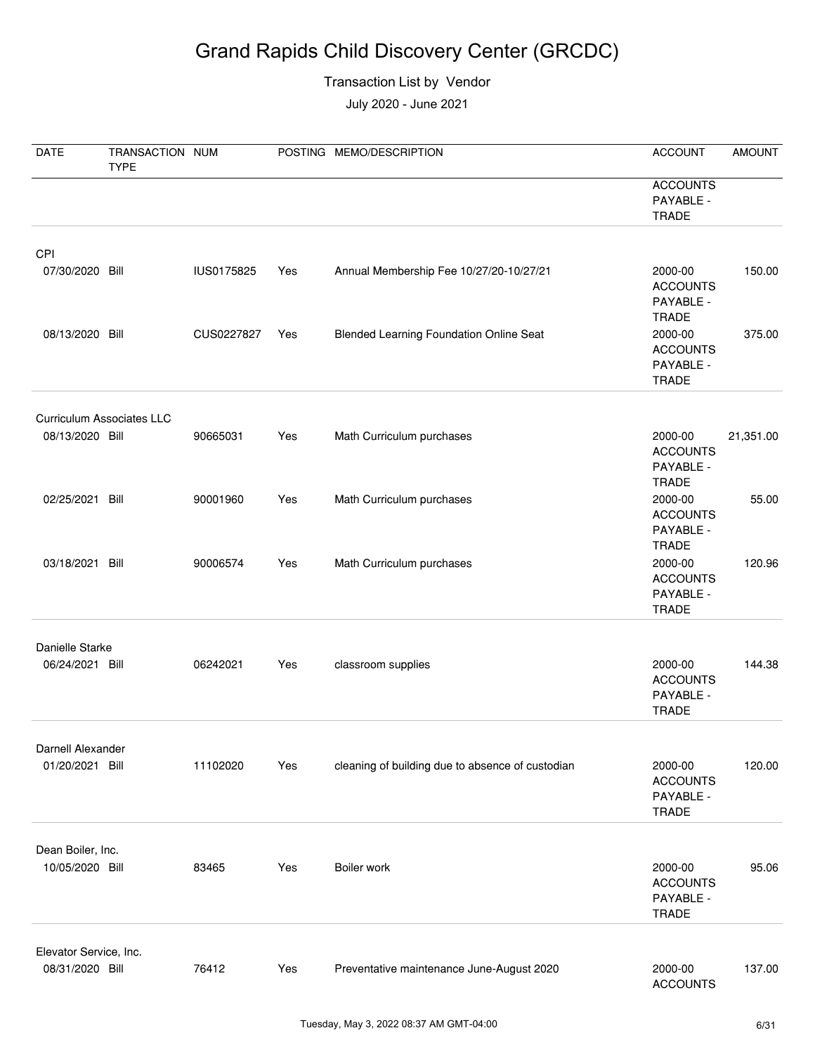#### Transaction List by Vendor

| <b>DATE</b>                          | TRANSACTION NUM<br><b>TYPE</b>   |            |     | POSTING MEMO/DESCRIPTION                         | <b>ACCOUNT</b>                                          | <b>AMOUNT</b> |
|--------------------------------------|----------------------------------|------------|-----|--------------------------------------------------|---------------------------------------------------------|---------------|
|                                      |                                  |            |     |                                                  | <b>ACCOUNTS</b><br>PAYABLE -<br><b>TRADE</b>            |               |
| CPI<br>07/30/2020 Bill               |                                  | IUS0175825 | Yes | Annual Membership Fee 10/27/20-10/27/21          | 2000-00<br><b>ACCOUNTS</b><br>PAYABLE -<br><b>TRADE</b> | 150.00        |
| 08/13/2020 Bill                      |                                  | CUS0227827 | Yes | <b>Blended Learning Foundation Online Seat</b>   | 2000-00<br><b>ACCOUNTS</b><br>PAYABLE -<br><b>TRADE</b> | 375.00        |
|                                      | <b>Curriculum Associates LLC</b> |            |     |                                                  |                                                         |               |
| 08/13/2020 Bill                      |                                  | 90665031   | Yes | Math Curriculum purchases                        | 2000-00<br><b>ACCOUNTS</b><br>PAYABLE -<br><b>TRADE</b> | 21,351.00     |
| 02/25/2021 Bill                      |                                  | 90001960   | Yes | Math Curriculum purchases                        | 2000-00<br><b>ACCOUNTS</b><br>PAYABLE -<br><b>TRADE</b> | 55.00         |
| 03/18/2021 Bill                      |                                  | 90006574   | Yes | Math Curriculum purchases                        | 2000-00<br><b>ACCOUNTS</b><br>PAYABLE -<br><b>TRADE</b> | 120.96        |
| Danielle Starke<br>06/24/2021 Bill   |                                  | 06242021   | Yes | classroom supplies                               | 2000-00<br><b>ACCOUNTS</b><br>PAYABLE -<br><b>TRADE</b> | 144.38        |
|                                      |                                  |            |     |                                                  |                                                         |               |
| Darnell Alexander<br>01/20/2021 Bill |                                  | 11102020   | Yes | cleaning of building due to absence of custodian | 2000-00<br><b>ACCOUNTS</b><br>PAYABLE -<br><b>TRADE</b> | 120.00        |
|                                      |                                  |            |     |                                                  |                                                         |               |
| Dean Boiler, Inc.<br>10/05/2020 Bill |                                  | 83465      | Yes | Boiler work                                      | 2000-00<br><b>ACCOUNTS</b><br>PAYABLE -<br><b>TRADE</b> | 95.06         |
| Elevator Service, Inc.               |                                  |            |     |                                                  |                                                         |               |
| 08/31/2020 Bill                      |                                  | 76412      | Yes | Preventative maintenance June-August 2020        | 2000-00<br><b>ACCOUNTS</b>                              | 137.00        |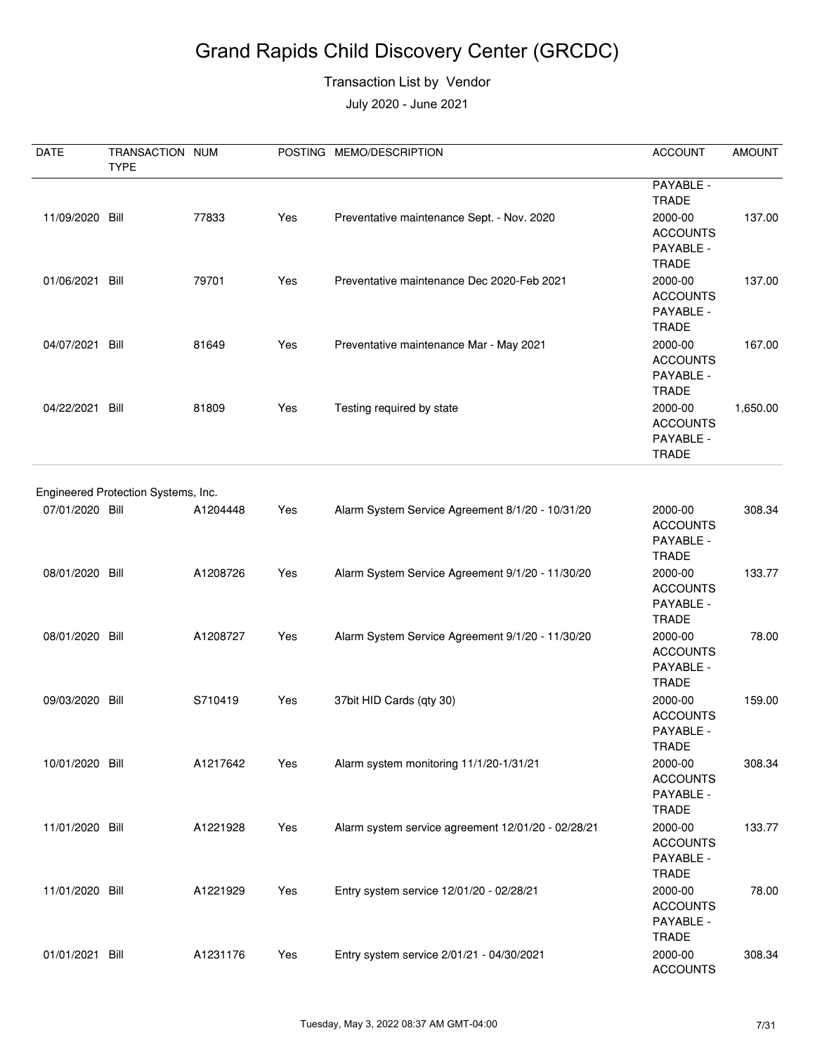#### Transaction List by Vendor

| DATE            | TRANSACTION NUM<br><b>TYPE</b>      |          |     | POSTING MEMO/DESCRIPTION                           | <b>ACCOUNT</b>                                          | <b>AMOUNT</b> |
|-----------------|-------------------------------------|----------|-----|----------------------------------------------------|---------------------------------------------------------|---------------|
|                 |                                     |          |     |                                                    | PAYABLE -<br><b>TRADE</b>                               |               |
| 11/09/2020 Bill |                                     | 77833    | Yes | Preventative maintenance Sept. - Nov. 2020         | 2000-00<br><b>ACCOUNTS</b><br>PAYABLE -<br><b>TRADE</b> | 137.00        |
| 01/06/2021 Bill |                                     | 79701    | Yes | Preventative maintenance Dec 2020-Feb 2021         | 2000-00<br><b>ACCOUNTS</b><br>PAYABLE -<br><b>TRADE</b> | 137.00        |
| 04/07/2021 Bill |                                     | 81649    | Yes | Preventative maintenance Mar - May 2021            | 2000-00<br><b>ACCOUNTS</b><br>PAYABLE -<br><b>TRADE</b> | 167.00        |
| 04/22/2021 Bill |                                     | 81809    | Yes | Testing required by state                          | 2000-00<br><b>ACCOUNTS</b><br>PAYABLE -<br><b>TRADE</b> | 1,650.00      |
|                 |                                     |          |     |                                                    |                                                         |               |
| 07/01/2020 Bill | Engineered Protection Systems, Inc. | A1204448 | Yes | Alarm System Service Agreement 8/1/20 - 10/31/20   | 2000-00<br><b>ACCOUNTS</b><br>PAYABLE -<br><b>TRADE</b> | 308.34        |
| 08/01/2020 Bill |                                     | A1208726 | Yes | Alarm System Service Agreement 9/1/20 - 11/30/20   | 2000-00<br><b>ACCOUNTS</b><br>PAYABLE -<br><b>TRADE</b> | 133.77        |
| 08/01/2020 Bill |                                     | A1208727 | Yes | Alarm System Service Agreement 9/1/20 - 11/30/20   | 2000-00<br><b>ACCOUNTS</b><br>PAYABLE -<br><b>TRADE</b> | 78.00         |
| 09/03/2020 Bill |                                     | S710419  | Yes | 37bit HID Cards (qty 30)                           | 2000-00<br><b>ACCOUNTS</b><br>PAYABLE -<br><b>TRADE</b> | 159.00        |
| 10/01/2020 Bill |                                     | A1217642 | Yes | Alarm system monitoring 11/1/20-1/31/21            | 2000-00<br><b>ACCOUNTS</b><br>PAYABLE -<br>TRADE        | 308.34        |
| 11/01/2020 Bill |                                     | A1221928 | Yes | Alarm system service agreement 12/01/20 - 02/28/21 | 2000-00<br><b>ACCOUNTS</b><br>PAYABLE -<br><b>TRADE</b> | 133.77        |
| 11/01/2020 Bill |                                     | A1221929 | Yes | Entry system service 12/01/20 - 02/28/21           | 2000-00<br><b>ACCOUNTS</b><br>PAYABLE -<br><b>TRADE</b> | 78.00         |
| 01/01/2021 Bill |                                     | A1231176 | Yes | Entry system service 2/01/21 - 04/30/2021          | 2000-00<br><b>ACCOUNTS</b>                              | 308.34        |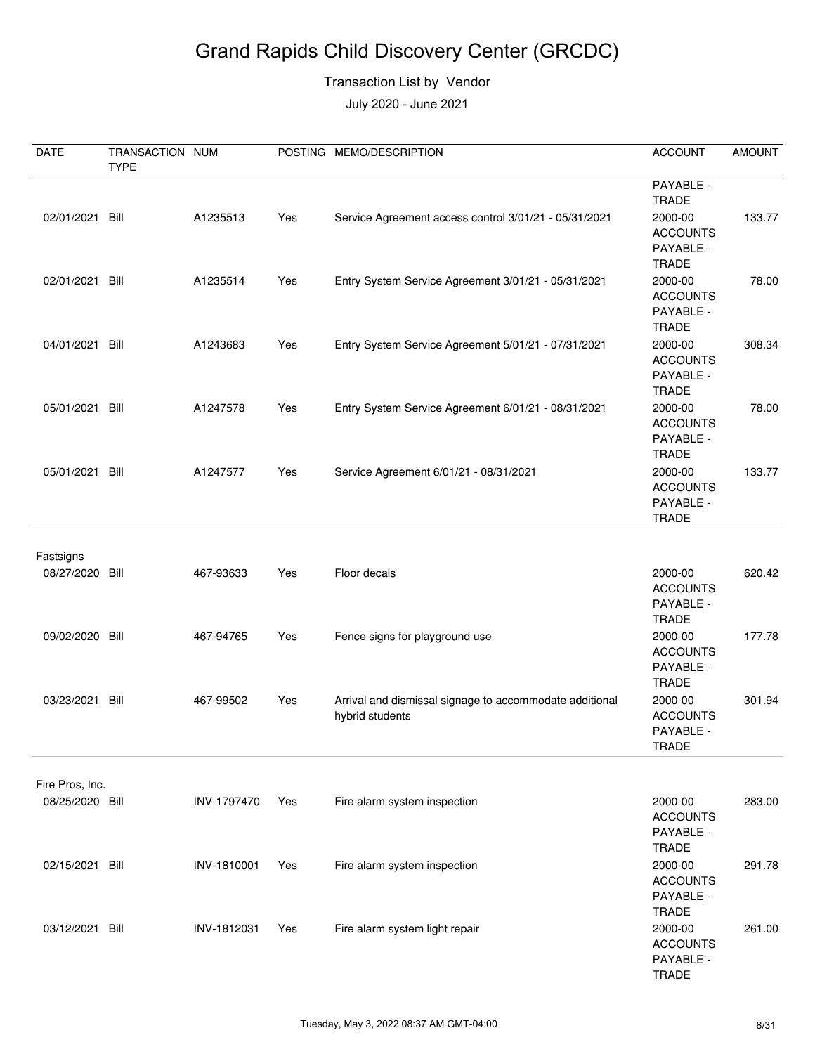#### Transaction List by Vendor

| <b>DATE</b>     | TRANSACTION NUM |             |     | POSTING MEMO/DESCRIPTION                                                   | <b>ACCOUNT</b>                                          | <b>AMOUNT</b> |
|-----------------|-----------------|-------------|-----|----------------------------------------------------------------------------|---------------------------------------------------------|---------------|
|                 | <b>TYPE</b>     |             |     |                                                                            | PAYABLE -<br><b>TRADE</b>                               |               |
| 02/01/2021 Bill |                 | A1235513    | Yes | Service Agreement access control 3/01/21 - 05/31/2021                      | 2000-00<br><b>ACCOUNTS</b><br>PAYABLE -<br><b>TRADE</b> | 133.77        |
| 02/01/2021 Bill |                 | A1235514    | Yes | Entry System Service Agreement 3/01/21 - 05/31/2021                        | 2000-00<br><b>ACCOUNTS</b><br>PAYABLE -<br><b>TRADE</b> | 78.00         |
| 04/01/2021 Bill |                 | A1243683    | Yes | Entry System Service Agreement 5/01/21 - 07/31/2021                        | 2000-00<br><b>ACCOUNTS</b><br>PAYABLE -<br><b>TRADE</b> | 308.34        |
| 05/01/2021 Bill |                 | A1247578    | Yes | Entry System Service Agreement 6/01/21 - 08/31/2021                        | 2000-00<br><b>ACCOUNTS</b><br>PAYABLE -<br><b>TRADE</b> | 78.00         |
| 05/01/2021 Bill |                 | A1247577    | Yes | Service Agreement 6/01/21 - 08/31/2021                                     | 2000-00<br><b>ACCOUNTS</b><br>PAYABLE -<br><b>TRADE</b> | 133.77        |
| Fastsigns       |                 |             |     |                                                                            |                                                         |               |
| 08/27/2020 Bill |                 | 467-93633   | Yes | Floor decals                                                               | 2000-00<br><b>ACCOUNTS</b><br>PAYABLE -<br><b>TRADE</b> | 620.42        |
| 09/02/2020 Bill |                 | 467-94765   | Yes | Fence signs for playground use                                             | 2000-00<br><b>ACCOUNTS</b><br>PAYABLE -<br><b>TRADE</b> | 177.78        |
| 03/23/2021      | Bill            | 467-99502   | Yes | Arrival and dismissal signage to accommodate additional<br>hybrid students | 2000-00<br><b>ACCOUNTS</b><br>PAYABLE -<br><b>TRADE</b> | 301.94        |
| Fire Pros, Inc. |                 |             |     |                                                                            |                                                         |               |
| 08/25/2020 Bill |                 | INV-1797470 | Yes | Fire alarm system inspection                                               | 2000-00<br><b>ACCOUNTS</b><br>PAYABLE -<br><b>TRADE</b> | 283.00        |
| 02/15/2021 Bill |                 | INV-1810001 | Yes | Fire alarm system inspection                                               | 2000-00<br><b>ACCOUNTS</b><br>PAYABLE -<br><b>TRADE</b> | 291.78        |
| 03/12/2021 Bill |                 | INV-1812031 | Yes | Fire alarm system light repair                                             | 2000-00<br><b>ACCOUNTS</b><br>PAYABLE -<br>TRADE        | 261.00        |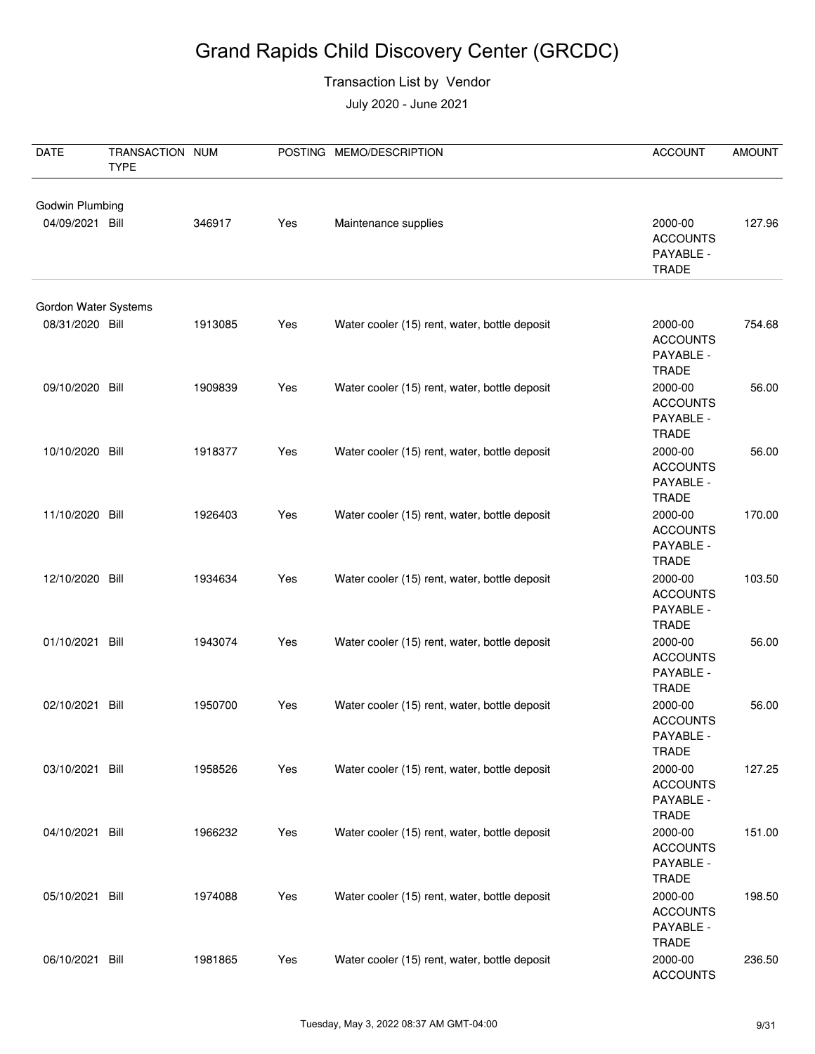#### Transaction List by Vendor

| DATE                 | TRANSACTION NUM |         |     | POSTING MEMO/DESCRIPTION                      | <b>ACCOUNT</b>                                                   | <b>AMOUNT</b> |
|----------------------|-----------------|---------|-----|-----------------------------------------------|------------------------------------------------------------------|---------------|
|                      | <b>TYPE</b>     |         |     |                                               |                                                                  |               |
| Godwin Plumbing      |                 |         |     |                                               |                                                                  |               |
| 04/09/2021 Bill      |                 | 346917  | Yes | Maintenance supplies                          | 2000-00<br><b>ACCOUNTS</b><br>PAYABLE -<br><b>TRADE</b>          | 127.96        |
| Gordon Water Systems |                 |         |     |                                               |                                                                  |               |
| 08/31/2020 Bill      |                 | 1913085 | Yes | Water cooler (15) rent, water, bottle deposit | 2000-00<br><b>ACCOUNTS</b><br>PAYABLE -                          | 754.68        |
| 09/10/2020 Bill      |                 | 1909839 | Yes | Water cooler (15) rent, water, bottle deposit | <b>TRADE</b><br>2000-00<br><b>ACCOUNTS</b><br>PAYABLE -          | 56.00         |
| 10/10/2020 Bill      |                 | 1918377 | Yes | Water cooler (15) rent, water, bottle deposit | <b>TRADE</b><br>2000-00<br><b>ACCOUNTS</b><br>PAYABLE -          | 56.00         |
| 11/10/2020 Bill      |                 | 1926403 | Yes | Water cooler (15) rent, water, bottle deposit | <b>TRADE</b><br>2000-00<br><b>ACCOUNTS</b><br>PAYABLE -          | 170.00        |
| 12/10/2020 Bill      |                 | 1934634 | Yes | Water cooler (15) rent, water, bottle deposit | <b>TRADE</b><br>2000-00<br><b>ACCOUNTS</b><br>PAYABLE -          | 103.50        |
| 01/10/2021 Bill      |                 | 1943074 | Yes | Water cooler (15) rent, water, bottle deposit | <b>TRADE</b><br>2000-00<br><b>ACCOUNTS</b><br>PAYABLE -          | 56.00         |
| 02/10/2021 Bill      |                 | 1950700 | Yes | Water cooler (15) rent, water, bottle deposit | <b>TRADE</b><br>2000-00<br><b>ACCOUNTS</b><br>PAYABLE -          | 56.00         |
| 03/10/2021 Bill      |                 | 1958526 | Yes | Water cooler (15) rent, water, bottle deposit | <b>TRADE</b><br>2000-00<br><b>ACCOUNTS</b><br>PAYABLE -          | 127.25        |
| 04/10/2021 Bill      |                 | 1966232 | Yes | Water cooler (15) rent, water, bottle deposit | <b>TRADE</b><br>2000-00<br><b>ACCOUNTS</b><br>PAYABLE -          | 151.00        |
| 05/10/2021 Bill      |                 | 1974088 | Yes | Water cooler (15) rent, water, bottle deposit | <b>TRADE</b><br>2000-00<br><b>ACCOUNTS</b><br>PAYABLE -<br>TRADE | 198.50        |
| 06/10/2021 Bill      |                 | 1981865 | Yes | Water cooler (15) rent, water, bottle deposit | 2000-00<br><b>ACCOUNTS</b>                                       | 236.50        |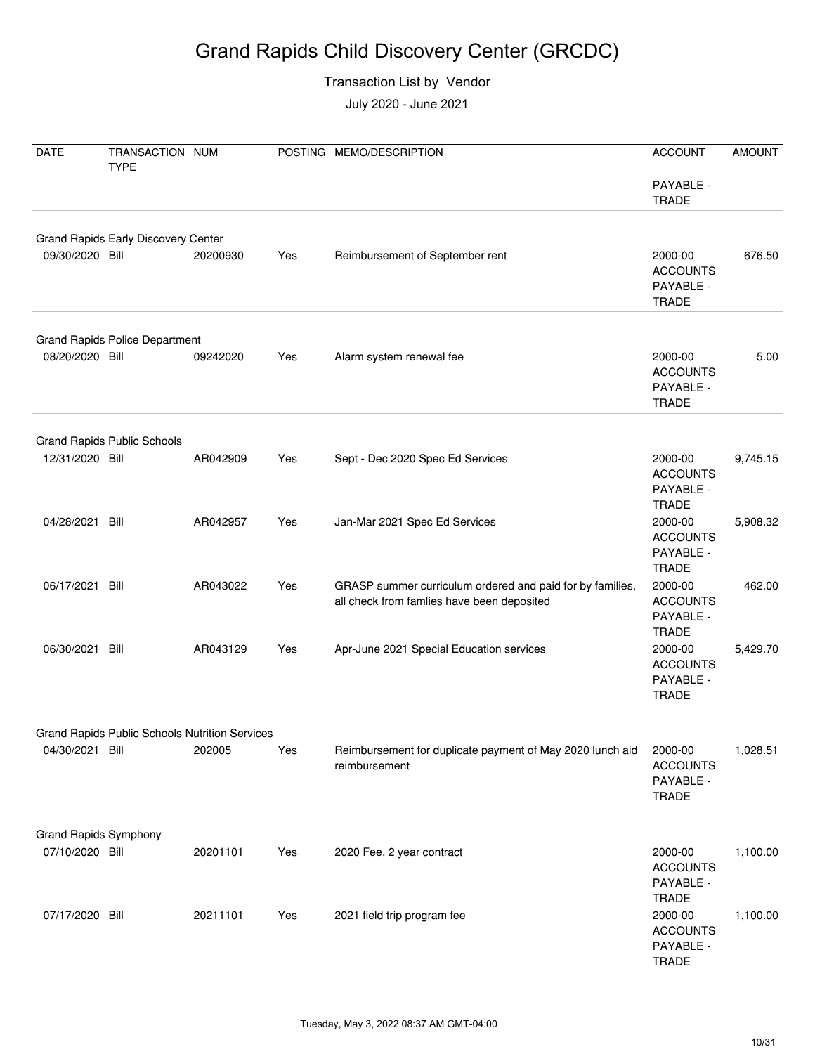#### Transaction List by Vendor

| DATE                                            | TRANSACTION NUM<br><b>TYPE</b>        |                                                                 |     | POSTING MEMO/DESCRIPTION                                                                                | <b>ACCOUNT</b>                                          | <b>AMOUNT</b> |
|-------------------------------------------------|---------------------------------------|-----------------------------------------------------------------|-----|---------------------------------------------------------------------------------------------------------|---------------------------------------------------------|---------------|
|                                                 |                                       |                                                                 |     |                                                                                                         | PAYABLE -<br><b>TRADE</b>                               |               |
|                                                 | Grand Rapids Early Discovery Center   |                                                                 |     |                                                                                                         |                                                         |               |
| 09/30/2020 Bill                                 |                                       | 20200930                                                        | Yes | Reimbursement of September rent                                                                         | 2000-00<br><b>ACCOUNTS</b><br>PAYABLE -<br><b>TRADE</b> | 676.50        |
|                                                 | <b>Grand Rapids Police Department</b> |                                                                 |     |                                                                                                         |                                                         |               |
| 08/20/2020 Bill                                 |                                       | 09242020                                                        | Yes | Alarm system renewal fee                                                                                | 2000-00<br><b>ACCOUNTS</b><br>PAYABLE -<br><b>TRADE</b> | 5.00          |
|                                                 | <b>Grand Rapids Public Schools</b>    |                                                                 |     |                                                                                                         |                                                         |               |
| 12/31/2020 Bill                                 |                                       | AR042909                                                        | Yes | Sept - Dec 2020 Spec Ed Services                                                                        | 2000-00<br><b>ACCOUNTS</b><br>PAYABLE -<br><b>TRADE</b> | 9,745.15      |
| 04/28/2021 Bill                                 |                                       | AR042957                                                        | Yes | Jan-Mar 2021 Spec Ed Services                                                                           | 2000-00<br><b>ACCOUNTS</b><br>PAYABLE -<br><b>TRADE</b> | 5,908.32      |
| 06/17/2021 Bill                                 |                                       | AR043022                                                        | Yes | GRASP summer curriculum ordered and paid for by families,<br>all check from famlies have been deposited | 2000-00<br><b>ACCOUNTS</b><br>PAYABLE -<br><b>TRADE</b> | 462.00        |
| 06/30/2021 Bill                                 |                                       | AR043129                                                        | Yes | Apr-June 2021 Special Education services                                                                | 2000-00<br><b>ACCOUNTS</b><br>PAYABLE -<br><b>TRADE</b> | 5,429.70      |
|                                                 |                                       |                                                                 |     |                                                                                                         |                                                         |               |
| 04/30/2021 Bill                                 |                                       | <b>Grand Rapids Public Schools Nutrition Services</b><br>202005 | Yes | Reimbursement for duplicate payment of May 2020 lunch aid<br>reimbursement                              | 2000-00<br><b>ACCOUNTS</b><br>PAYABLE -<br><b>TRADE</b> | 1,028.51      |
|                                                 |                                       |                                                                 |     |                                                                                                         |                                                         |               |
| <b>Grand Rapids Symphony</b><br>07/10/2020 Bill |                                       | 20201101                                                        | Yes | 2020 Fee, 2 year contract                                                                               | 2000-00<br><b>ACCOUNTS</b><br>PAYABLE -<br><b>TRADE</b> | 1,100.00      |
| 07/17/2020 Bill                                 |                                       | 20211101                                                        | Yes | 2021 field trip program fee                                                                             | 2000-00<br><b>ACCOUNTS</b><br>PAYABLE -<br><b>TRADE</b> | 1,100.00      |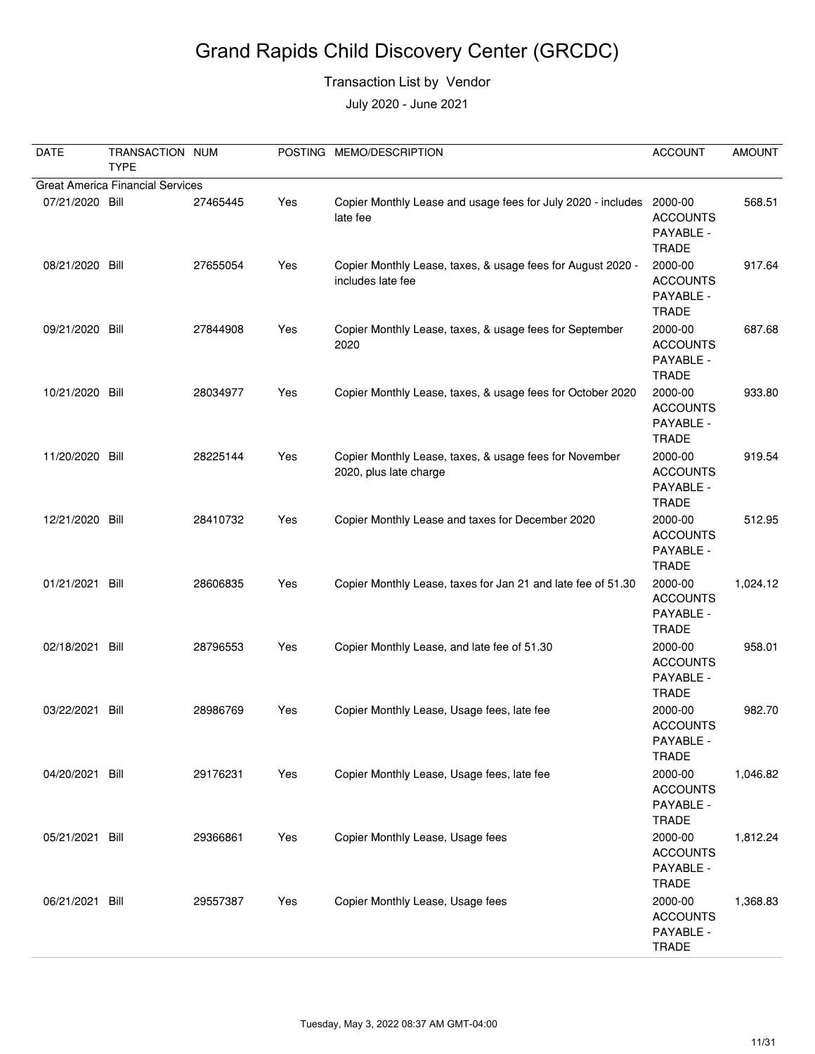#### Transaction List by Vendor

| <b>DATE</b>                             | TRANSACTION NUM<br><b>TYPE</b> |          |     | POSTING MEMO/DESCRIPTION                                                         | <b>ACCOUNT</b>                                          | <b>AMOUNT</b> |  |  |  |
|-----------------------------------------|--------------------------------|----------|-----|----------------------------------------------------------------------------------|---------------------------------------------------------|---------------|--|--|--|
| <b>Great America Financial Services</b> |                                |          |     |                                                                                  |                                                         |               |  |  |  |
| 07/21/2020 Bill                         |                                | 27465445 | Yes | Copier Monthly Lease and usage fees for July 2020 - includes 2000-00<br>late fee | <b>ACCOUNTS</b><br>PAYABLE -<br><b>TRADE</b>            | 568.51        |  |  |  |
| 08/21/2020 Bill                         |                                | 27655054 | Yes | Copier Monthly Lease, taxes, & usage fees for August 2020 -<br>includes late fee | 2000-00<br><b>ACCOUNTS</b><br>PAYABLE -<br><b>TRADE</b> | 917.64        |  |  |  |
| 09/21/2020 Bill                         |                                | 27844908 | Yes | Copier Monthly Lease, taxes, & usage fees for September<br>2020                  | 2000-00<br><b>ACCOUNTS</b><br>PAYABLE -<br><b>TRADE</b> | 687.68        |  |  |  |
| 10/21/2020 Bill                         |                                | 28034977 | Yes | Copier Monthly Lease, taxes, & usage fees for October 2020                       | 2000-00<br><b>ACCOUNTS</b><br>PAYABLE -<br><b>TRADE</b> | 933.80        |  |  |  |
| 11/20/2020 Bill                         |                                | 28225144 | Yes | Copier Monthly Lease, taxes, & usage fees for November<br>2020, plus late charge | 2000-00<br><b>ACCOUNTS</b><br>PAYABLE -<br><b>TRADE</b> | 919.54        |  |  |  |
| 12/21/2020 Bill                         |                                | 28410732 | Yes | Copier Monthly Lease and taxes for December 2020                                 | 2000-00<br><b>ACCOUNTS</b><br>PAYABLE -<br><b>TRADE</b> | 512.95        |  |  |  |
| 01/21/2021 Bill                         |                                | 28606835 | Yes | Copier Monthly Lease, taxes for Jan 21 and late fee of 51.30                     | 2000-00<br><b>ACCOUNTS</b><br>PAYABLE -<br><b>TRADE</b> | 1,024.12      |  |  |  |
| 02/18/2021 Bill                         |                                | 28796553 | Yes | Copier Monthly Lease, and late fee of 51.30                                      | 2000-00<br><b>ACCOUNTS</b><br>PAYABLE -<br><b>TRADE</b> | 958.01        |  |  |  |
| 03/22/2021 Bill                         |                                | 28986769 | Yes | Copier Monthly Lease, Usage fees, late fee                                       | 2000-00<br><b>ACCOUNTS</b><br>PAYABLE -<br><b>TRADE</b> | 982.70        |  |  |  |
| 04/20/2021 Bill                         |                                | 29176231 | Yes | Copier Monthly Lease, Usage fees, late fee                                       | 2000-00<br><b>ACCOUNTS</b><br>PAYABLE -<br><b>TRADE</b> | 1,046.82      |  |  |  |
| 05/21/2021 Bill                         |                                | 29366861 | Yes | Copier Monthly Lease, Usage fees                                                 | 2000-00<br><b>ACCOUNTS</b><br>PAYABLE -<br><b>TRADE</b> | 1,812.24      |  |  |  |
| 06/21/2021 Bill                         |                                | 29557387 | Yes | Copier Monthly Lease, Usage fees                                                 | 2000-00<br><b>ACCOUNTS</b><br>PAYABLE -<br>TRADE        | 1,368.83      |  |  |  |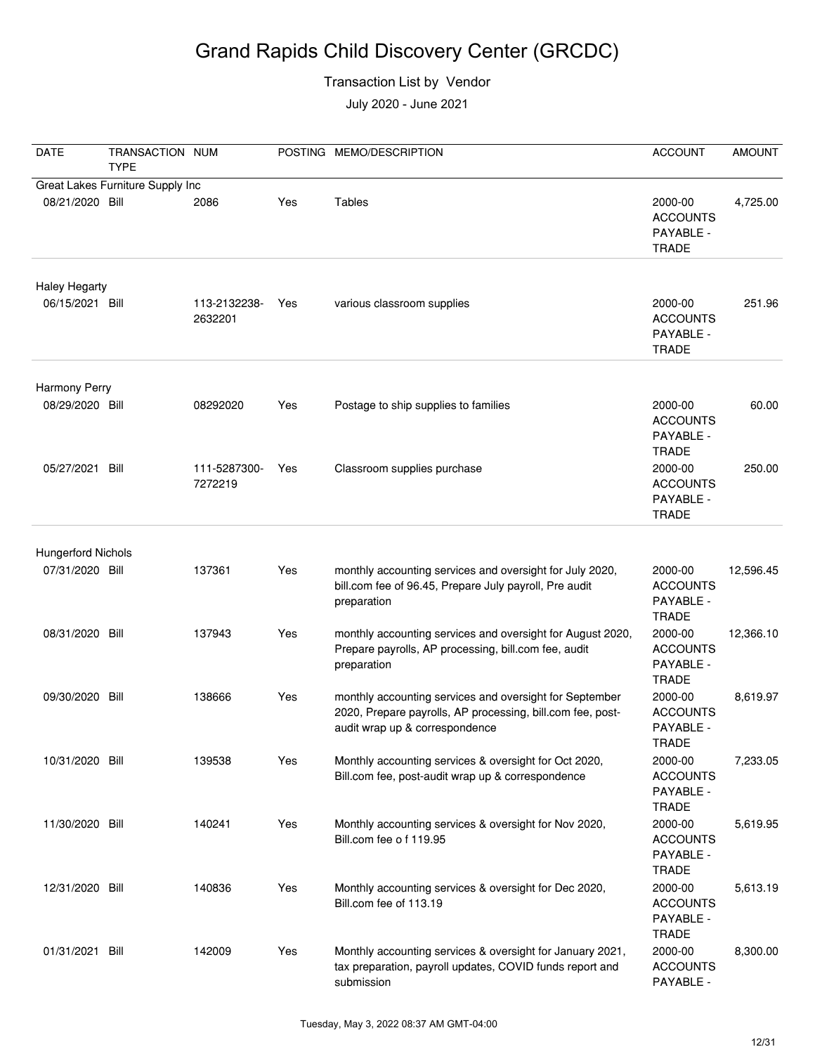#### Transaction List by Vendor

| <b>DATE</b>                                  | TRANSACTION NUM<br><b>TYPE</b>   |                         |     | POSTING MEMO/DESCRIPTION                                                                                                                                | <b>ACCOUNT</b>                                                          | <b>AMOUNT</b> |
|----------------------------------------------|----------------------------------|-------------------------|-----|---------------------------------------------------------------------------------------------------------------------------------------------------------|-------------------------------------------------------------------------|---------------|
|                                              | Great Lakes Furniture Supply Inc |                         |     |                                                                                                                                                         |                                                                         |               |
| 08/21/2020 Bill                              |                                  | 2086                    | Yes | Tables                                                                                                                                                  | 2000-00<br><b>ACCOUNTS</b><br>PAYABLE -<br><b>TRADE</b>                 | 4,725.00      |
| <b>Haley Hegarty</b><br>06/15/2021 Bill      |                                  | 113-2132238-<br>2632201 | Yes | various classroom supplies                                                                                                                              | 2000-00<br><b>ACCOUNTS</b><br>PAYABLE -<br><b>TRADE</b>                 | 251.96        |
|                                              |                                  |                         |     |                                                                                                                                                         |                                                                         |               |
| Harmony Perry<br>08/29/2020 Bill             |                                  | 08292020                | Yes | Postage to ship supplies to families                                                                                                                    | 2000-00<br><b>ACCOUNTS</b><br>PAYABLE -                                 | 60.00         |
| 05/27/2021 Bill                              |                                  | 111-5287300-<br>7272219 | Yes | Classroom supplies purchase                                                                                                                             | <b>TRADE</b><br>2000-00<br><b>ACCOUNTS</b><br>PAYABLE -<br><b>TRADE</b> | 250.00        |
|                                              |                                  |                         |     |                                                                                                                                                         |                                                                         |               |
| <b>Hungerford Nichols</b><br>07/31/2020 Bill |                                  | 137361                  | Yes | monthly accounting services and oversight for July 2020,<br>bill.com fee of 96.45, Prepare July payroll, Pre audit<br>preparation                       | 2000-00<br><b>ACCOUNTS</b><br>PAYABLE -<br><b>TRADE</b>                 | 12,596.45     |
| 08/31/2020 Bill                              |                                  | 137943                  | Yes | monthly accounting services and oversight for August 2020,<br>Prepare payrolls, AP processing, bill.com fee, audit<br>preparation                       | 2000-00<br><b>ACCOUNTS</b><br>PAYABLE -<br><b>TRADE</b>                 | 12,366.10     |
| 09/30/2020                                   | Bill                             | 138666                  | Yes | monthly accounting services and oversight for September<br>2020, Prepare payrolls, AP processing, bill.com fee, post-<br>audit wrap up & correspondence | 2000-00<br><b>ACCOUNTS</b><br>PAYABLE -<br><b>TRADE</b>                 | 8,619.97      |
| 10/31/2020 Bill                              |                                  | 139538                  | Yes | Monthly accounting services & oversight for Oct 2020,<br>Bill.com fee, post-audit wrap up & correspondence                                              | 2000-00<br><b>ACCOUNTS</b><br>PAYABLE -<br><b>TRADE</b>                 | 7,233.05      |
| 11/30/2020 Bill                              |                                  | 140241                  | Yes | Monthly accounting services & oversight for Nov 2020,<br>Bill.com fee o f 119.95                                                                        | 2000-00<br><b>ACCOUNTS</b><br>PAYABLE -<br><b>TRADE</b>                 | 5,619.95      |
| 12/31/2020 Bill                              |                                  | 140836                  | Yes | Monthly accounting services & oversight for Dec 2020,<br>Bill.com fee of 113.19                                                                         | 2000-00<br><b>ACCOUNTS</b><br>PAYABLE -<br><b>TRADE</b>                 | 5,613.19      |
| 01/31/2021 Bill                              |                                  | 142009                  | Yes | Monthly accounting services & oversight for January 2021,<br>tax preparation, payroll updates, COVID funds report and<br>submission                     | 2000-00<br><b>ACCOUNTS</b><br>PAYABLE -                                 | 8,300.00      |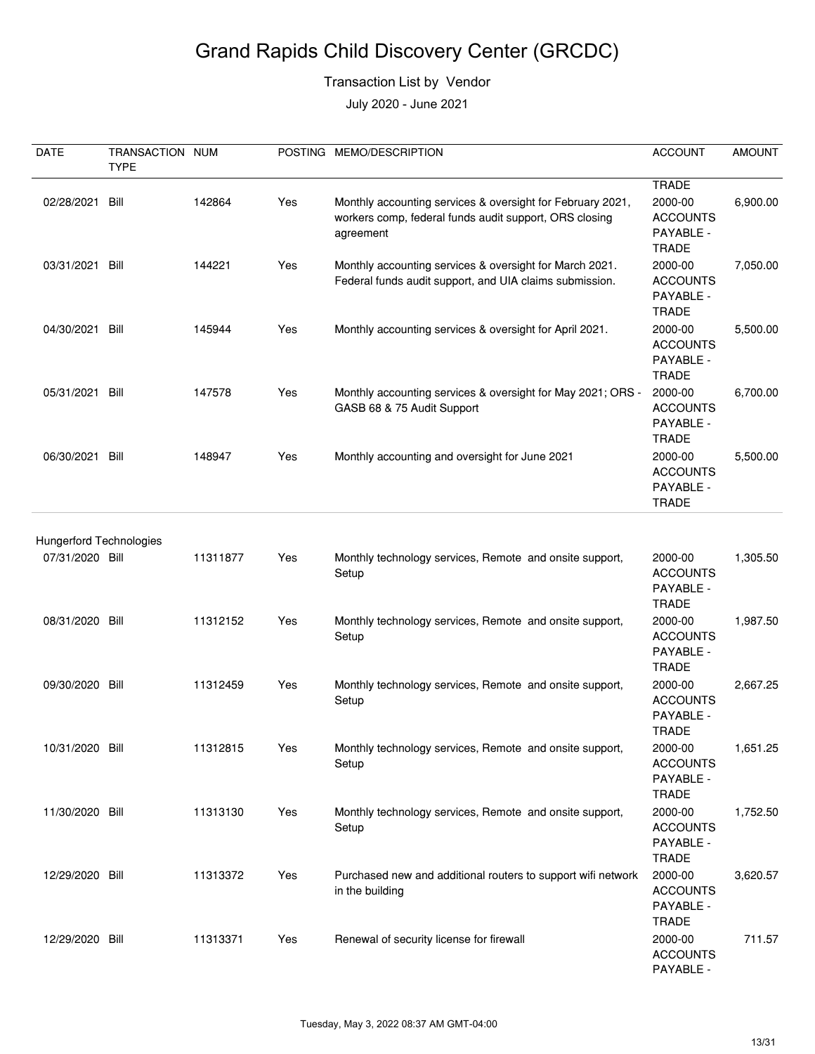#### Transaction List by Vendor

| DATE                           | TRANSACTION NUM<br><b>TYPE</b> |          |     | POSTING MEMO/DESCRIPTION                                                                                                          | <b>ACCOUNT</b>                                                          | <b>AMOUNT</b> |
|--------------------------------|--------------------------------|----------|-----|-----------------------------------------------------------------------------------------------------------------------------------|-------------------------------------------------------------------------|---------------|
| 02/28/2021                     | Bill                           | 142864   | Yes | Monthly accounting services & oversight for February 2021,<br>workers comp, federal funds audit support, ORS closing<br>agreement | <b>TRADE</b><br>2000-00<br><b>ACCOUNTS</b><br>PAYABLE -<br><b>TRADE</b> | 6,900.00      |
| 03/31/2021 Bill                |                                | 144221   | Yes | Monthly accounting services & oversight for March 2021.<br>Federal funds audit support, and UIA claims submission.                | 2000-00<br><b>ACCOUNTS</b><br>PAYABLE -<br><b>TRADE</b>                 | 7,050.00      |
| 04/30/2021                     | Bill                           | 145944   | Yes | Monthly accounting services & oversight for April 2021.                                                                           | 2000-00<br><b>ACCOUNTS</b><br>PAYABLE -<br><b>TRADE</b>                 | 5,500.00      |
| 05/31/2021 Bill                |                                | 147578   | Yes | Monthly accounting services & oversight for May 2021; ORS -<br>GASB 68 & 75 Audit Support                                         | 2000-00<br><b>ACCOUNTS</b><br>PAYABLE -<br><b>TRADE</b>                 | 6,700.00      |
| 06/30/2021 Bill                |                                | 148947   | Yes | Monthly accounting and oversight for June 2021                                                                                    | 2000-00<br><b>ACCOUNTS</b><br>PAYABLE -<br><b>TRADE</b>                 | 5,500.00      |
| <b>Hungerford Technologies</b> |                                |          |     |                                                                                                                                   |                                                                         |               |
| 07/31/2020 Bill                |                                | 11311877 | Yes | Monthly technology services, Remote and onsite support,<br>Setup                                                                  | 2000-00<br><b>ACCOUNTS</b><br>PAYABLE -<br><b>TRADE</b>                 | 1,305.50      |
| 08/31/2020 Bill                |                                | 11312152 | Yes | Monthly technology services, Remote and onsite support,<br>Setup                                                                  | 2000-00<br><b>ACCOUNTS</b><br>PAYABLE -<br><b>TRADE</b>                 | 1,987.50      |
| 09/30/2020 Bill                |                                | 11312459 | Yes | Monthly technology services, Remote and onsite support,<br>Setup                                                                  | 2000-00<br><b>ACCOUNTS</b><br>PAYABLE -<br>TRADE                        | 2,667.25      |
| 10/31/2020 Bill                |                                | 11312815 | Yes | Monthly technology services, Remote and onsite support,<br>Setup                                                                  | 2000-00<br><b>ACCOUNTS</b><br>PAYABLE -<br><b>TRADE</b>                 | 1,651.25      |
| 11/30/2020 Bill                |                                | 11313130 | Yes | Monthly technology services, Remote and onsite support,<br>Setup                                                                  | 2000-00<br><b>ACCOUNTS</b><br>PAYABLE -<br><b>TRADE</b>                 | 1,752.50      |
| 12/29/2020 Bill                |                                | 11313372 | Yes | Purchased new and additional routers to support wifi network<br>in the building                                                   | 2000-00<br><b>ACCOUNTS</b><br>PAYABLE -<br><b>TRADE</b>                 | 3,620.57      |
| 12/29/2020 Bill                |                                | 11313371 | Yes | Renewal of security license for firewall                                                                                          | 2000-00<br><b>ACCOUNTS</b><br>PAYABLE -                                 | 711.57        |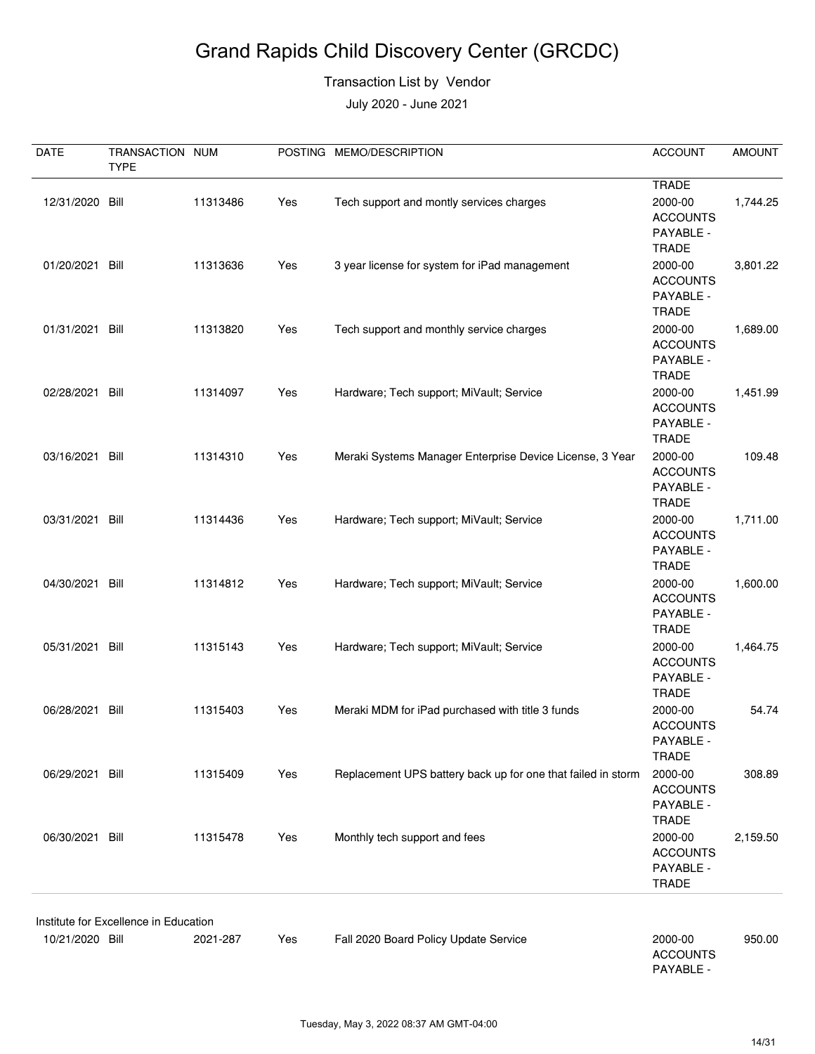#### Transaction List by Vendor

| DATE            | TRANSACTION NUM<br><b>TYPE</b>        |          |     | POSTING MEMO/DESCRIPTION                                     | <b>ACCOUNT</b>                                          | <b>AMOUNT</b> |
|-----------------|---------------------------------------|----------|-----|--------------------------------------------------------------|---------------------------------------------------------|---------------|
|                 |                                       |          |     |                                                              | <b>TRADE</b>                                            |               |
| 12/31/2020 Bill |                                       | 11313486 | Yes | Tech support and montly services charges                     | 2000-00<br><b>ACCOUNTS</b><br>PAYABLE -<br><b>TRADE</b> | 1,744.25      |
| 01/20/2021 Bill |                                       | 11313636 | Yes | 3 year license for system for iPad management                | 2000-00<br><b>ACCOUNTS</b><br>PAYABLE -<br><b>TRADE</b> | 3,801.22      |
| 01/31/2021 Bill |                                       | 11313820 | Yes | Tech support and monthly service charges                     | 2000-00<br><b>ACCOUNTS</b><br>PAYABLE -<br><b>TRADE</b> | 1,689.00      |
| 02/28/2021 Bill |                                       | 11314097 | Yes | Hardware; Tech support; MiVault; Service                     | 2000-00<br><b>ACCOUNTS</b><br>PAYABLE -<br><b>TRADE</b> | 1,451.99      |
| 03/16/2021 Bill |                                       | 11314310 | Yes | Meraki Systems Manager Enterprise Device License, 3 Year     | 2000-00<br><b>ACCOUNTS</b><br>PAYABLE -<br><b>TRADE</b> | 109.48        |
| 03/31/2021 Bill |                                       | 11314436 | Yes | Hardware; Tech support; MiVault; Service                     | 2000-00<br><b>ACCOUNTS</b><br>PAYABLE -<br><b>TRADE</b> | 1,711.00      |
| 04/30/2021 Bill |                                       | 11314812 | Yes | Hardware; Tech support; MiVault; Service                     | 2000-00<br><b>ACCOUNTS</b><br>PAYABLE -<br><b>TRADE</b> | 1,600.00      |
| 05/31/2021 Bill |                                       | 11315143 | Yes | Hardware; Tech support; MiVault; Service                     | 2000-00<br><b>ACCOUNTS</b><br>PAYABLE -<br><b>TRADE</b> | 1,464.75      |
| 06/28/2021 Bill |                                       | 11315403 | Yes | Meraki MDM for iPad purchased with title 3 funds             | 2000-00<br><b>ACCOUNTS</b><br>PAYABLE -<br><b>TRADE</b> | 54.74         |
| 06/29/2021 Bill |                                       | 11315409 | Yes | Replacement UPS battery back up for one that failed in storm | 2000-00<br><b>ACCOUNTS</b><br>PAYABLE -<br><b>TRADE</b> | 308.89        |
| 06/30/2021 Bill |                                       | 11315478 | Yes | Monthly tech support and fees                                | 2000-00<br><b>ACCOUNTS</b><br>PAYABLE -<br><b>TRADE</b> | 2,159.50      |
|                 | Institute for Excellence in Education |          |     |                                                              |                                                         |               |
| 10/21/2020 Bill |                                       | 2021-287 | Yes | Fall 2020 Board Policy Update Service                        | 2000-00<br><b>ACCOUNTS</b><br>PAYABLE -                 | 950.00        |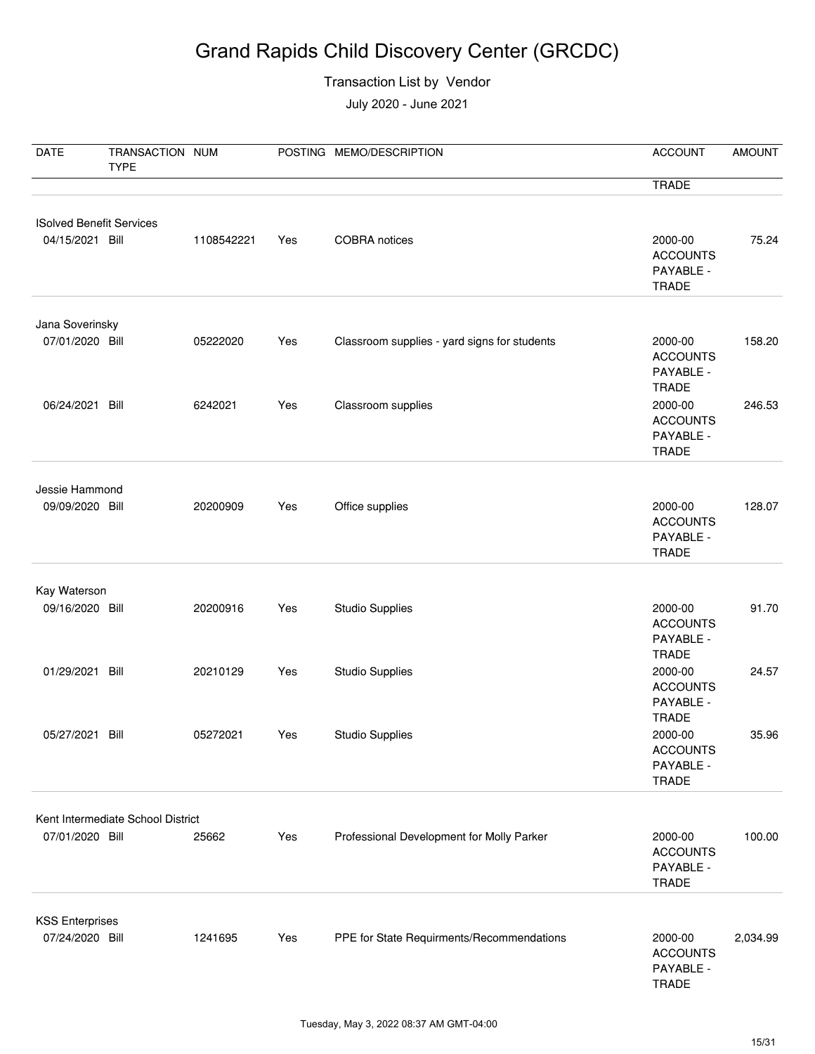#### Transaction List by Vendor

| <b>DATE</b>                               | TRANSACTION NUM<br><b>TYPE</b>    |            |     | POSTING MEMO/DESCRIPTION                     | <b>ACCOUNT</b>                                          | <b>AMOUNT</b> |
|-------------------------------------------|-----------------------------------|------------|-----|----------------------------------------------|---------------------------------------------------------|---------------|
|                                           |                                   |            |     |                                              | <b>TRADE</b>                                            |               |
| <b>ISolved Benefit Services</b>           |                                   |            |     |                                              |                                                         |               |
| 04/15/2021 Bill                           |                                   | 1108542221 | Yes | COBRA notices                                | 2000-00<br><b>ACCOUNTS</b><br>PAYABLE -<br><b>TRADE</b> | 75.24         |
| Jana Soverinsky                           |                                   |            |     |                                              |                                                         |               |
| 07/01/2020 Bill                           |                                   | 05222020   | Yes | Classroom supplies - yard signs for students | 2000-00<br><b>ACCOUNTS</b><br>PAYABLE -<br><b>TRADE</b> | 158.20        |
| 06/24/2021 Bill                           |                                   | 6242021    | Yes | Classroom supplies                           | 2000-00<br><b>ACCOUNTS</b><br>PAYABLE -<br><b>TRADE</b> | 246.53        |
| Jessie Hammond                            |                                   |            |     |                                              |                                                         |               |
| 09/09/2020 Bill                           |                                   | 20200909   | Yes | Office supplies                              | 2000-00<br><b>ACCOUNTS</b><br>PAYABLE -<br><b>TRADE</b> | 128.07        |
|                                           |                                   |            |     |                                              |                                                         |               |
| Kay Waterson<br>09/16/2020 Bill           |                                   | 20200916   | Yes | <b>Studio Supplies</b>                       | 2000-00<br><b>ACCOUNTS</b><br>PAYABLE -<br><b>TRADE</b> | 91.70         |
| 01/29/2021 Bill                           |                                   | 20210129   | Yes | <b>Studio Supplies</b>                       | 2000-00<br><b>ACCOUNTS</b><br>PAYABLE -<br><b>TRADE</b> | 24.57         |
| 05/27/2021 Bill                           |                                   | 05272021   | Yes | <b>Studio Supplies</b>                       | 2000-00<br><b>ACCOUNTS</b><br>PAYABLE -<br><b>TRADE</b> | 35.96         |
|                                           | Kent Intermediate School District |            |     |                                              |                                                         |               |
| 07/01/2020 Bill                           |                                   | 25662      | Yes | Professional Development for Molly Parker    | 2000-00<br><b>ACCOUNTS</b><br>PAYABLE -<br>TRADE        | 100.00        |
|                                           |                                   |            |     |                                              |                                                         |               |
| <b>KSS Enterprises</b><br>07/24/2020 Bill |                                   | 1241695    | Yes | PPE for State Requirments/Recommendations    | 2000-00<br><b>ACCOUNTS</b><br>PAYABLE -<br><b>TRADE</b> | 2,034.99      |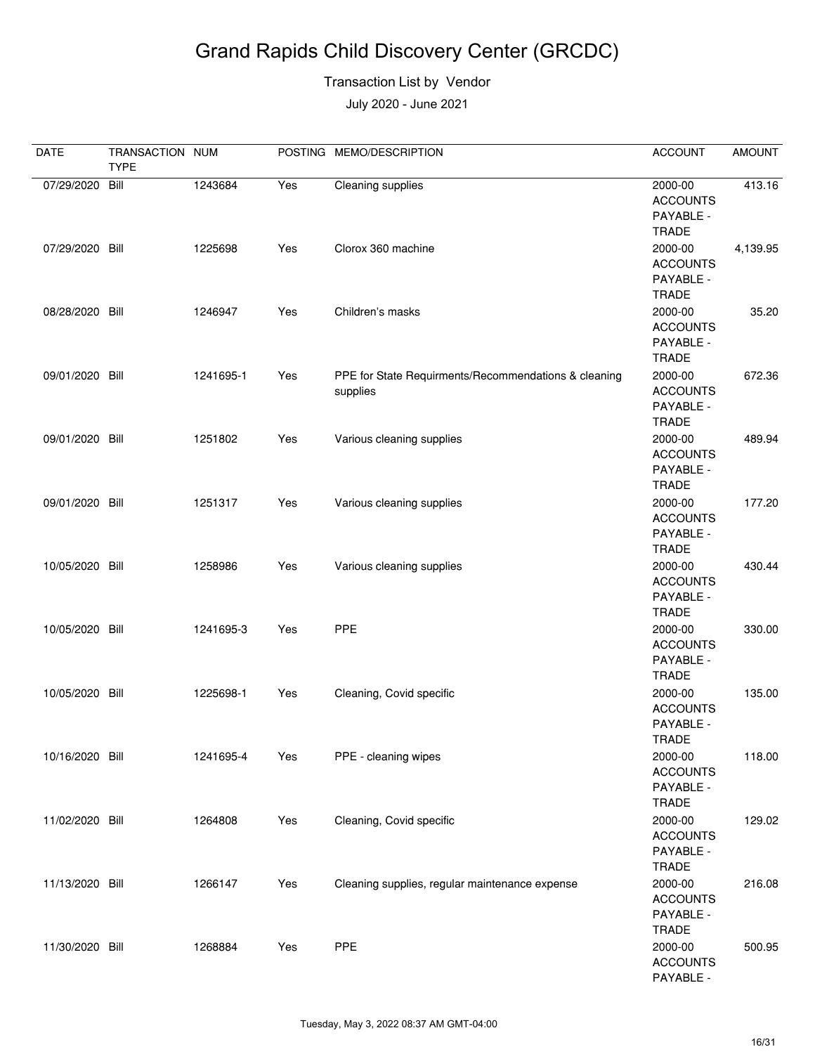#### Transaction List by Vendor

| <b>DATE</b>     | TRANSACTION NUM<br><b>TYPE</b> |           |     | POSTING MEMO/DESCRIPTION                                         | <b>ACCOUNT</b>                                          | <b>AMOUNT</b> |
|-----------------|--------------------------------|-----------|-----|------------------------------------------------------------------|---------------------------------------------------------|---------------|
| 07/29/2020      | Bill                           | 1243684   | Yes | Cleaning supplies                                                | 2000-00<br><b>ACCOUNTS</b><br>PAYABLE -<br><b>TRADE</b> | 413.16        |
| 07/29/2020 Bill |                                | 1225698   | Yes | Clorox 360 machine                                               | 2000-00<br><b>ACCOUNTS</b><br>PAYABLE -<br><b>TRADE</b> | 4,139.95      |
| 08/28/2020 Bill |                                | 1246947   | Yes | Children's masks                                                 | 2000-00<br><b>ACCOUNTS</b><br>PAYABLE -<br><b>TRADE</b> | 35.20         |
| 09/01/2020 Bill |                                | 1241695-1 | Yes | PPE for State Requirments/Recommendations & cleaning<br>supplies | 2000-00<br><b>ACCOUNTS</b><br>PAYABLE -<br><b>TRADE</b> | 672.36        |
| 09/01/2020 Bill |                                | 1251802   | Yes | Various cleaning supplies                                        | 2000-00<br><b>ACCOUNTS</b><br>PAYABLE -<br><b>TRADE</b> | 489.94        |
| 09/01/2020 Bill |                                | 1251317   | Yes | Various cleaning supplies                                        | 2000-00<br><b>ACCOUNTS</b><br>PAYABLE -<br><b>TRADE</b> | 177.20        |
| 10/05/2020 Bill |                                | 1258986   | Yes | Various cleaning supplies                                        | 2000-00<br><b>ACCOUNTS</b><br>PAYABLE -<br><b>TRADE</b> | 430.44        |
| 10/05/2020 Bill |                                | 1241695-3 | Yes | PPE                                                              | 2000-00<br><b>ACCOUNTS</b><br>PAYABLE -<br><b>TRADE</b> | 330.00        |
| 10/05/2020 Bill |                                | 1225698-1 | Yes | Cleaning, Covid specific                                         | 2000-00<br><b>ACCOUNTS</b><br>PAYABLE -<br><b>TRADE</b> | 135.00        |
| 10/16/2020 Bill |                                | 1241695-4 | Yes | PPE - cleaning wipes                                             | 2000-00<br><b>ACCOUNTS</b><br>PAYABLE -<br><b>TRADE</b> | 118.00        |
| 11/02/2020 Bill |                                | 1264808   | Yes | Cleaning, Covid specific                                         | 2000-00<br><b>ACCOUNTS</b><br>PAYABLE -<br><b>TRADE</b> | 129.02        |
| 11/13/2020 Bill |                                | 1266147   | Yes | Cleaning supplies, regular maintenance expense                   | 2000-00<br><b>ACCOUNTS</b><br>PAYABLE -<br><b>TRADE</b> | 216.08        |
| 11/30/2020 Bill |                                | 1268884   | Yes | <b>PPE</b>                                                       | 2000-00<br><b>ACCOUNTS</b><br>PAYABLE -                 | 500.95        |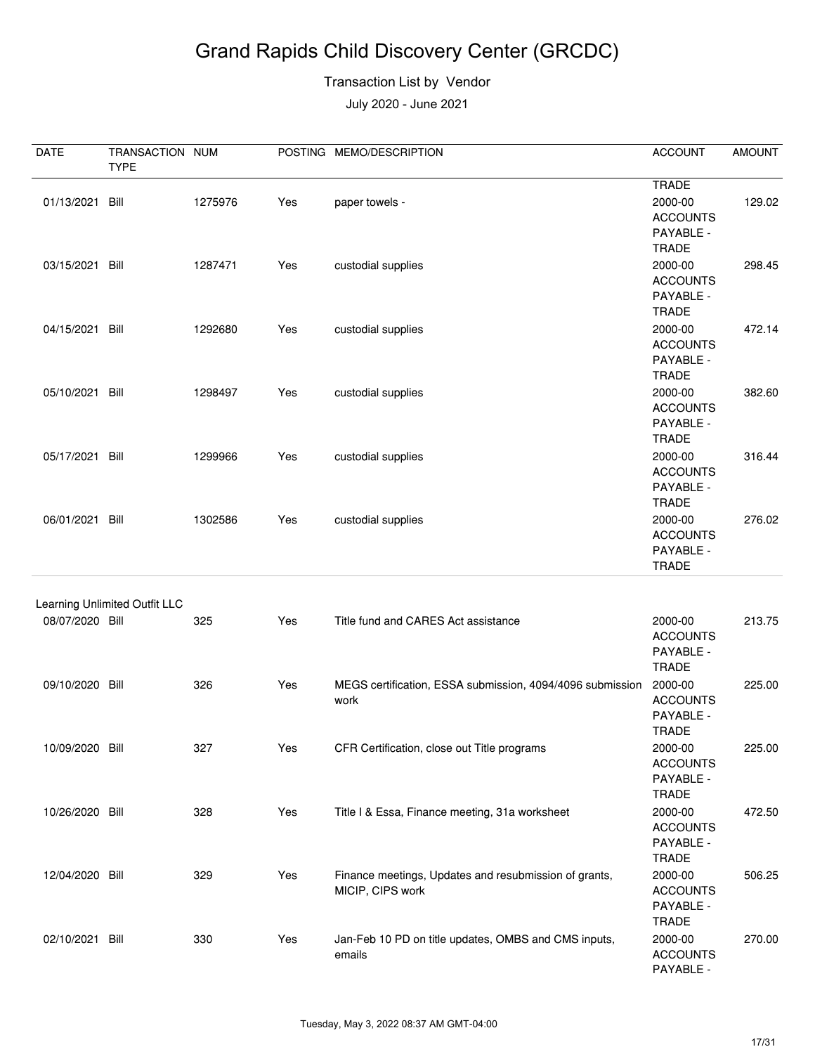#### Transaction List by Vendor

| DATE            | TRANSACTION NUM<br><b>TYPE</b> |         |     | POSTING MEMO/DESCRIPTION                                                  | <b>ACCOUNT</b>                                          | <b>AMOUNT</b> |
|-----------------|--------------------------------|---------|-----|---------------------------------------------------------------------------|---------------------------------------------------------|---------------|
|                 |                                |         |     |                                                                           | <b>TRADE</b>                                            |               |
| 01/13/2021 Bill |                                | 1275976 | Yes | paper towels -                                                            | 2000-00<br><b>ACCOUNTS</b><br>PAYABLE -<br><b>TRADE</b> | 129.02        |
| 03/15/2021 Bill |                                | 1287471 | Yes | custodial supplies                                                        | 2000-00<br><b>ACCOUNTS</b><br>PAYABLE -<br><b>TRADE</b> | 298.45        |
| 04/15/2021      | Bill                           | 1292680 | Yes | custodial supplies                                                        | 2000-00<br><b>ACCOUNTS</b><br>PAYABLE -<br><b>TRADE</b> | 472.14        |
| 05/10/2021 Bill |                                | 1298497 | Yes | custodial supplies                                                        | 2000-00<br><b>ACCOUNTS</b><br>PAYABLE -<br><b>TRADE</b> | 382.60        |
| 05/17/2021 Bill |                                | 1299966 | Yes | custodial supplies                                                        | 2000-00<br><b>ACCOUNTS</b><br>PAYABLE -<br><b>TRADE</b> | 316.44        |
| 06/01/2021 Bill |                                | 1302586 | Yes | custodial supplies                                                        | 2000-00<br><b>ACCOUNTS</b><br>PAYABLE -<br><b>TRADE</b> | 276.02        |
|                 | Learning Unlimited Outfit LLC  |         |     |                                                                           |                                                         |               |
| 08/07/2020 Bill |                                | 325     | Yes | Title fund and CARES Act assistance                                       | 2000-00<br><b>ACCOUNTS</b><br>PAYABLE -<br><b>TRADE</b> | 213.75        |
| 09/10/2020 Bill |                                | 326     | Yes | MEGS certification, ESSA submission, 4094/4096 submission<br>work         | 2000-00<br><b>ACCOUNTS</b><br>PAYABLE -<br><b>TRADE</b> | 225.00        |
| 10/09/2020 Bill |                                | 327     | Yes | CFR Certification, close out Title programs                               | 2000-00<br><b>ACCOUNTS</b><br>PAYABLE -<br><b>TRADE</b> | 225.00        |
| 10/26/2020 Bill |                                | 328     | Yes | Title I & Essa, Finance meeting, 31a worksheet                            | 2000-00<br><b>ACCOUNTS</b><br>PAYABLE -<br><b>TRADE</b> | 472.50        |
| 12/04/2020 Bill |                                | 329     | Yes | Finance meetings, Updates and resubmission of grants,<br>MICIP, CIPS work | 2000-00<br><b>ACCOUNTS</b><br>PAYABLE -<br><b>TRADE</b> | 506.25        |
| 02/10/2021 Bill |                                | 330     | Yes | Jan-Feb 10 PD on title updates, OMBS and CMS inputs,<br>emails            | 2000-00<br><b>ACCOUNTS</b><br>PAYABLE -                 | 270.00        |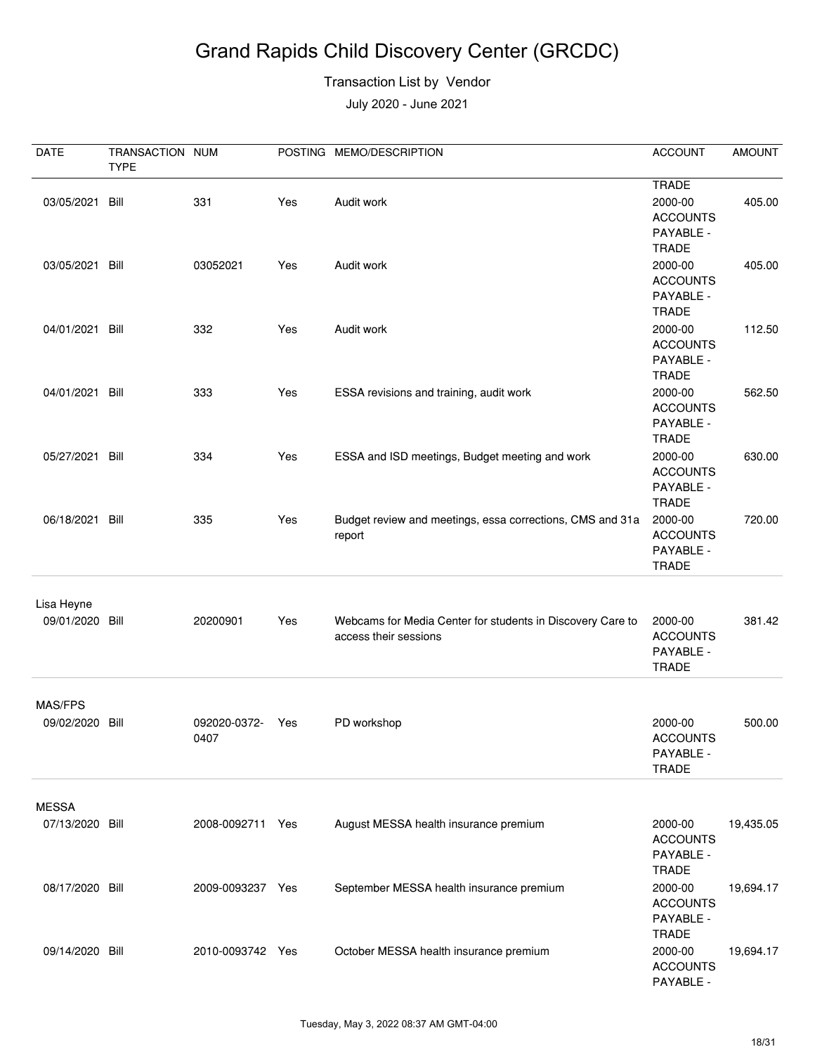#### Transaction List by Vendor

| DATE                          | TRANSACTION NUM<br><b>TYPE</b> |                      |     | POSTING MEMO/DESCRIPTION                                                            | <b>ACCOUNT</b>                                                          | <b>AMOUNT</b> |
|-------------------------------|--------------------------------|----------------------|-----|-------------------------------------------------------------------------------------|-------------------------------------------------------------------------|---------------|
| 03/05/2021 Bill               |                                | 331                  | Yes | Audit work                                                                          | <b>TRADE</b><br>2000-00<br><b>ACCOUNTS</b><br>PAYABLE -                 | 405.00        |
| 03/05/2021 Bill               |                                | 03052021             | Yes | Audit work                                                                          | <b>TRADE</b><br>2000-00<br><b>ACCOUNTS</b><br>PAYABLE -<br><b>TRADE</b> | 405.00        |
| 04/01/2021 Bill               |                                | 332                  | Yes | Audit work                                                                          | 2000-00<br><b>ACCOUNTS</b><br>PAYABLE -<br><b>TRADE</b>                 | 112.50        |
| 04/01/2021 Bill               |                                | 333                  | Yes | ESSA revisions and training, audit work                                             | 2000-00<br><b>ACCOUNTS</b><br>PAYABLE -<br><b>TRADE</b>                 | 562.50        |
| 05/27/2021 Bill               |                                | 334                  | Yes | ESSA and ISD meetings, Budget meeting and work                                      | 2000-00<br><b>ACCOUNTS</b><br>PAYABLE -<br><b>TRADE</b>                 | 630.00        |
| 06/18/2021 Bill               |                                | 335                  | Yes | Budget review and meetings, essa corrections, CMS and 31a<br>report                 | 2000-00<br><b>ACCOUNTS</b><br>PAYABLE -<br><b>TRADE</b>                 | 720.00        |
| Lisa Heyne<br>09/01/2020 Bill |                                | 20200901             | Yes | Webcams for Media Center for students in Discovery Care to<br>access their sessions | 2000-00<br><b>ACCOUNTS</b><br>PAYABLE -<br><b>TRADE</b>                 | 381.42        |
| MAS/FPS                       |                                |                      |     |                                                                                     |                                                                         |               |
| 09/02/2020 Bill               |                                | 092020-0372-<br>0407 | Yes | PD workshop                                                                         | 2000-00<br><b>ACCOUNTS</b><br>PAYABLE -<br><b>TRADE</b>                 | 500.00        |
| <b>MESSA</b>                  |                                |                      |     |                                                                                     |                                                                         |               |
| 07/13/2020 Bill               |                                | 2008-0092711 Yes     |     | August MESSA health insurance premium                                               | 2000-00<br><b>ACCOUNTS</b><br>PAYABLE -<br><b>TRADE</b>                 | 19,435.05     |
| 08/17/2020 Bill               |                                | 2009-0093237 Yes     |     | September MESSA health insurance premium                                            | 2000-00<br><b>ACCOUNTS</b><br>PAYABLE -<br><b>TRADE</b>                 | 19,694.17     |
| 09/14/2020 Bill               |                                | 2010-0093742 Yes     |     | October MESSA health insurance premium                                              | 2000-00<br><b>ACCOUNTS</b><br>PAYABLE -                                 | 19,694.17     |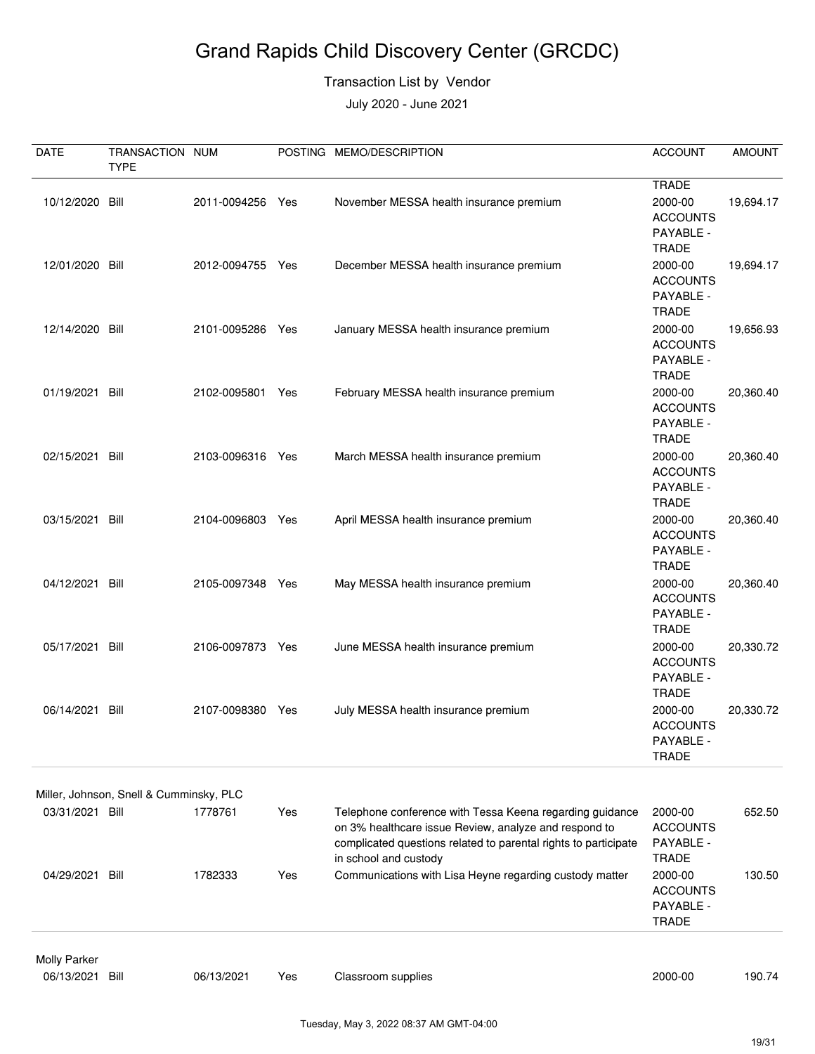#### Transaction List by Vendor

| <b>DATE</b>         | TRANSACTION NUM                         |                  |     | POSTING MEMO/DESCRIPTION                                                                                                                                                                                      | <b>ACCOUNT</b>                                          | <b>AMOUNT</b> |
|---------------------|-----------------------------------------|------------------|-----|---------------------------------------------------------------------------------------------------------------------------------------------------------------------------------------------------------------|---------------------------------------------------------|---------------|
|                     | <b>TYPE</b>                             |                  |     |                                                                                                                                                                                                               | <b>TRADE</b>                                            |               |
| 10/12/2020 Bill     |                                         | 2011-0094256 Yes |     | November MESSA health insurance premium                                                                                                                                                                       | 2000-00<br><b>ACCOUNTS</b><br>PAYABLE -<br><b>TRADE</b> | 19,694.17     |
| 12/01/2020 Bill     |                                         | 2012-0094755 Yes |     | December MESSA health insurance premium                                                                                                                                                                       | 2000-00<br><b>ACCOUNTS</b><br>PAYABLE -<br><b>TRADE</b> | 19,694.17     |
| 12/14/2020 Bill     |                                         | 2101-0095286     | Yes | January MESSA health insurance premium                                                                                                                                                                        | 2000-00<br><b>ACCOUNTS</b><br>PAYABLE -<br><b>TRADE</b> | 19,656.93     |
| 01/19/2021 Bill     |                                         | 2102-0095801     | Yes | February MESSA health insurance premium                                                                                                                                                                       | 2000-00<br><b>ACCOUNTS</b><br>PAYABLE -<br><b>TRADE</b> | 20,360.40     |
| 02/15/2021 Bill     |                                         | 2103-0096316 Yes |     | March MESSA health insurance premium                                                                                                                                                                          | 2000-00<br><b>ACCOUNTS</b><br>PAYABLE -<br><b>TRADE</b> | 20,360.40     |
| 03/15/2021          | Bill                                    | 2104-0096803     | Yes | April MESSA health insurance premium                                                                                                                                                                          | 2000-00<br><b>ACCOUNTS</b><br>PAYABLE -<br><b>TRADE</b> | 20,360.40     |
| 04/12/2021 Bill     |                                         | 2105-0097348     | Yes | May MESSA health insurance premium                                                                                                                                                                            | 2000-00<br><b>ACCOUNTS</b><br>PAYABLE -<br><b>TRADE</b> | 20,360.40     |
| 05/17/2021 Bill     |                                         | 2106-0097873     | Yes | June MESSA health insurance premium                                                                                                                                                                           | 2000-00<br><b>ACCOUNTS</b><br>PAYABLE -<br><b>TRADE</b> | 20,330.72     |
| 06/14/2021 Bill     |                                         | 2107-0098380     | Yes | July MESSA health insurance premium                                                                                                                                                                           | 2000-00<br><b>ACCOUNTS</b><br>PAYABLE -<br><b>TRADE</b> | 20,330.72     |
|                     | Miller, Johnson, Snell & Cumminsky, PLC |                  |     |                                                                                                                                                                                                               |                                                         |               |
| 03/31/2021 Bill     |                                         | 1778761          | Yes | Telephone conference with Tessa Keena regarding guidance<br>on 3% healthcare issue Review, analyze and respond to<br>complicated questions related to parental rights to participate<br>in school and custody | 2000-00<br><b>ACCOUNTS</b><br>PAYABLE -<br><b>TRADE</b> | 652.50        |
| 04/29/2021 Bill     |                                         | 1782333          | Yes | Communications with Lisa Heyne regarding custody matter                                                                                                                                                       | 2000-00<br><b>ACCOUNTS</b><br>PAYABLE -<br>TRADE        | 130.50        |
| <b>Molly Parker</b> |                                         |                  |     |                                                                                                                                                                                                               |                                                         |               |
| 06/13/2021          | Bill                                    | 06/13/2021       | Yes | Classroom supplies                                                                                                                                                                                            | 2000-00                                                 | 190.74        |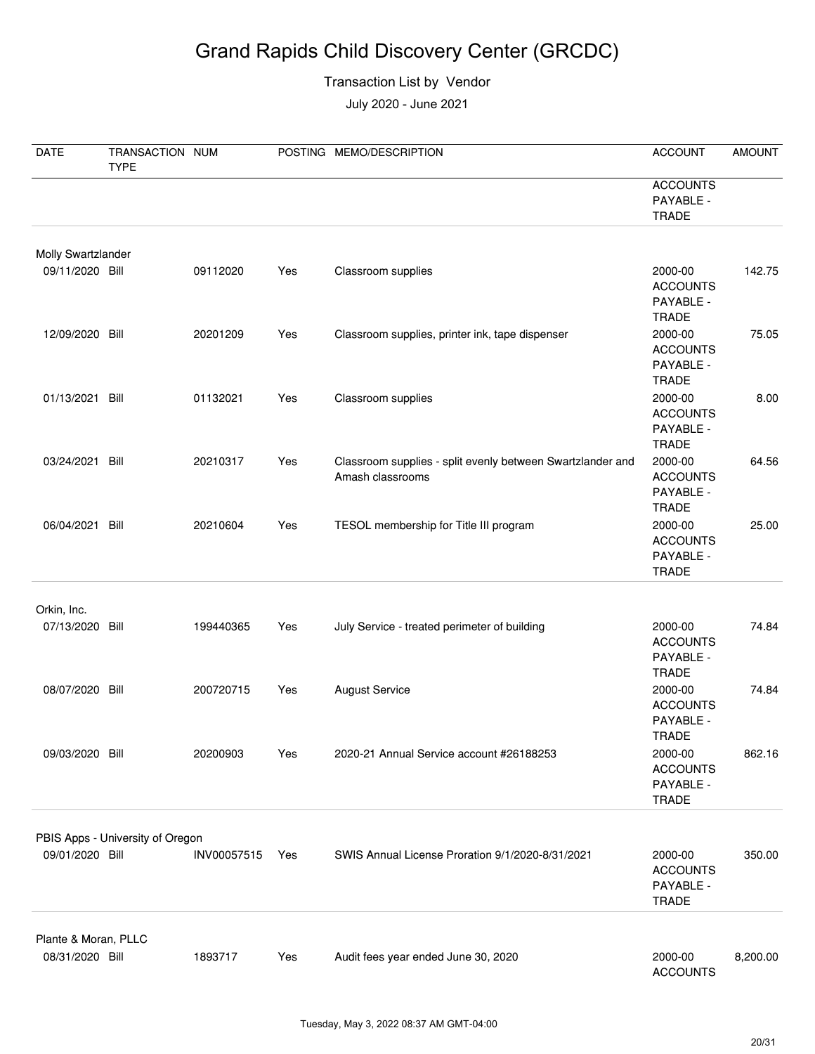#### Transaction List by Vendor

| <b>DATE</b>               | TRANSACTION NUM<br><b>TYPE</b>   |             |     | POSTING MEMO/DESCRIPTION                                                       | <b>ACCOUNT</b>                                          | <b>AMOUNT</b> |
|---------------------------|----------------------------------|-------------|-----|--------------------------------------------------------------------------------|---------------------------------------------------------|---------------|
|                           |                                  |             |     |                                                                                | <b>ACCOUNTS</b><br>PAYABLE -<br><b>TRADE</b>            |               |
| <b>Molly Swartzlander</b> |                                  |             |     |                                                                                |                                                         |               |
| 09/11/2020 Bill           |                                  | 09112020    | Yes | Classroom supplies                                                             | 2000-00<br><b>ACCOUNTS</b><br>PAYABLE -<br><b>TRADE</b> | 142.75        |
| 12/09/2020 Bill           |                                  | 20201209    | Yes | Classroom supplies, printer ink, tape dispenser                                | 2000-00<br><b>ACCOUNTS</b><br>PAYABLE -<br><b>TRADE</b> | 75.05         |
| 01/13/2021                | Bill                             | 01132021    | Yes | Classroom supplies                                                             | 2000-00<br><b>ACCOUNTS</b><br>PAYABLE -<br><b>TRADE</b> | 8.00          |
| 03/24/2021                | Bill                             | 20210317    | Yes | Classroom supplies - split evenly between Swartzlander and<br>Amash classrooms | 2000-00<br><b>ACCOUNTS</b><br>PAYABLE -<br><b>TRADE</b> | 64.56         |
| 06/04/2021 Bill           |                                  | 20210604    | Yes | TESOL membership for Title III program                                         | 2000-00<br><b>ACCOUNTS</b><br>PAYABLE -<br><b>TRADE</b> | 25.00         |
| Orkin, Inc.               |                                  |             |     |                                                                                |                                                         |               |
| 07/13/2020 Bill           |                                  | 199440365   | Yes | July Service - treated perimeter of building                                   | 2000-00<br><b>ACCOUNTS</b><br>PAYABLE -<br><b>TRADE</b> | 74.84         |
| 08/07/2020 Bill           |                                  | 200720715   | Yes | <b>August Service</b>                                                          | 2000-00<br><b>ACCOUNTS</b><br>PAYABLE -<br><b>TRADE</b> | 74.84         |
| 09/03/2020 Bill           |                                  | 20200903    | Yes | 2020-21 Annual Service account #26188253                                       | 2000-00<br><b>ACCOUNTS</b><br>PAYABLE -<br><b>TRADE</b> | 862.16        |
|                           | PBIS Apps - University of Oregon |             |     |                                                                                |                                                         |               |
| 09/01/2020 Bill           |                                  | INV00057515 | Yes | SWIS Annual License Proration 9/1/2020-8/31/2021                               | 2000-00<br><b>ACCOUNTS</b><br>PAYABLE -<br><b>TRADE</b> | 350.00        |
| Plante & Moran, PLLC      |                                  |             |     |                                                                                |                                                         |               |
| 08/31/2020 Bill           |                                  | 1893717     | Yes | Audit fees year ended June 30, 2020                                            | 2000-00<br><b>ACCOUNTS</b>                              | 8,200.00      |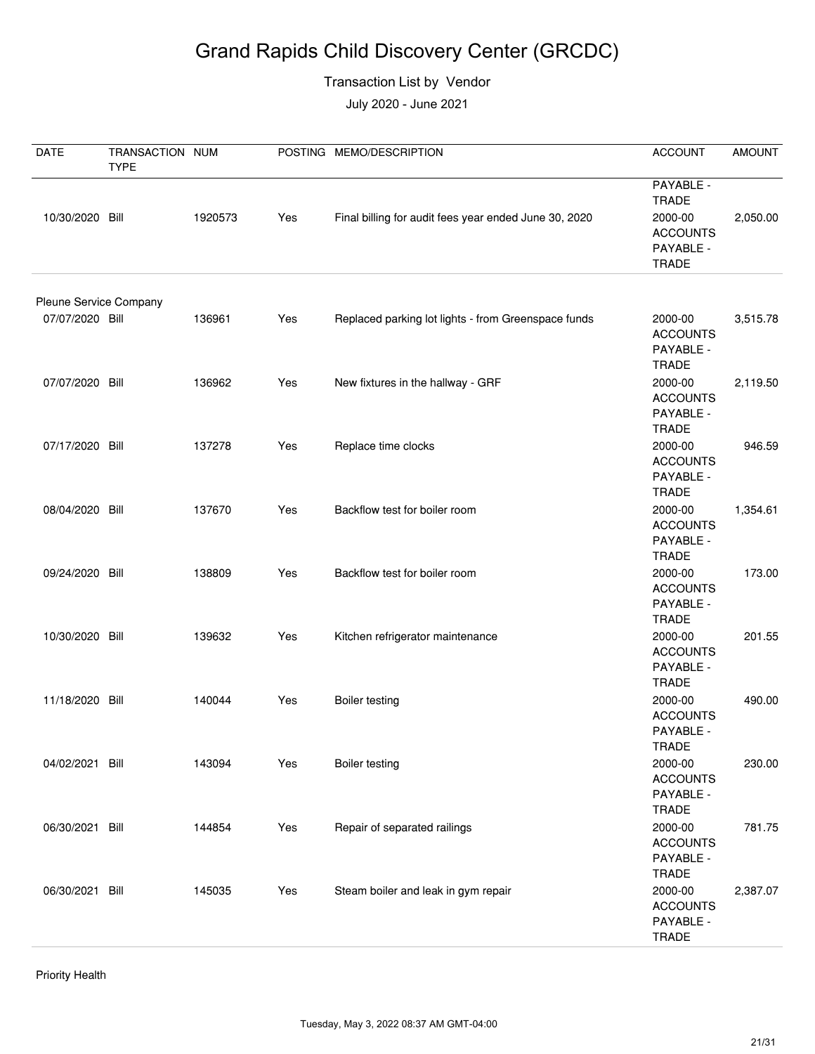#### Transaction List by Vendor

July 2020 - June 2021

| <b>DATE</b>                               | TRANSACTION NUM<br><b>TYPE</b> |         |     | POSTING MEMO/DESCRIPTION                              | <b>ACCOUNT</b>                                                                       | <b>AMOUNT</b> |
|-------------------------------------------|--------------------------------|---------|-----|-------------------------------------------------------|--------------------------------------------------------------------------------------|---------------|
| 10/30/2020 Bill                           |                                | 1920573 | Yes | Final billing for audit fees year ended June 30, 2020 | PAYABLE -<br><b>TRADE</b><br>2000-00<br><b>ACCOUNTS</b><br>PAYABLE -<br><b>TRADE</b> | 2,050.00      |
|                                           |                                |         |     |                                                       |                                                                                      |               |
| Pleune Service Company<br>07/07/2020 Bill |                                | 136961  | Yes | Replaced parking lot lights - from Greenspace funds   | 2000-00<br><b>ACCOUNTS</b><br>PAYABLE -<br><b>TRADE</b>                              | 3,515.78      |
| 07/07/2020 Bill                           |                                | 136962  | Yes | New fixtures in the hallway - GRF                     | 2000-00<br><b>ACCOUNTS</b><br>PAYABLE -<br><b>TRADE</b>                              | 2,119.50      |
| 07/17/2020 Bill                           |                                | 137278  | Yes | Replace time clocks                                   | 2000-00<br><b>ACCOUNTS</b><br>PAYABLE -<br><b>TRADE</b>                              | 946.59        |
| 08/04/2020 Bill                           |                                | 137670  | Yes | Backflow test for boiler room                         | 2000-00<br><b>ACCOUNTS</b><br>PAYABLE -<br><b>TRADE</b>                              | 1,354.61      |
| 09/24/2020 Bill                           |                                | 138809  | Yes | Backflow test for boiler room                         | 2000-00<br><b>ACCOUNTS</b><br>PAYABLE -<br><b>TRADE</b>                              | 173.00        |
| 10/30/2020 Bill                           |                                | 139632  | Yes | Kitchen refrigerator maintenance                      | 2000-00<br><b>ACCOUNTS</b><br>PAYABLE -<br><b>TRADE</b>                              | 201.55        |
| 11/18/2020 Bill                           |                                | 140044  | Yes | <b>Boiler testing</b>                                 | 2000-00<br><b>ACCOUNTS</b><br>PAYABLE -<br>TRADE                                     | 490.00        |
| 04/02/2021 Bill                           |                                | 143094  | Yes | <b>Boiler testing</b>                                 | 2000-00<br><b>ACCOUNTS</b><br>PAYABLE -<br><b>TRADE</b>                              | 230.00        |
| 06/30/2021 Bill                           |                                | 144854  | Yes | Repair of separated railings                          | 2000-00<br><b>ACCOUNTS</b><br>PAYABLE -<br><b>TRADE</b>                              | 781.75        |
| 06/30/2021 Bill                           |                                | 145035  | Yes | Steam boiler and leak in gym repair                   | 2000-00<br><b>ACCOUNTS</b><br>PAYABLE -<br><b>TRADE</b>                              | 2,387.07      |

Priority Health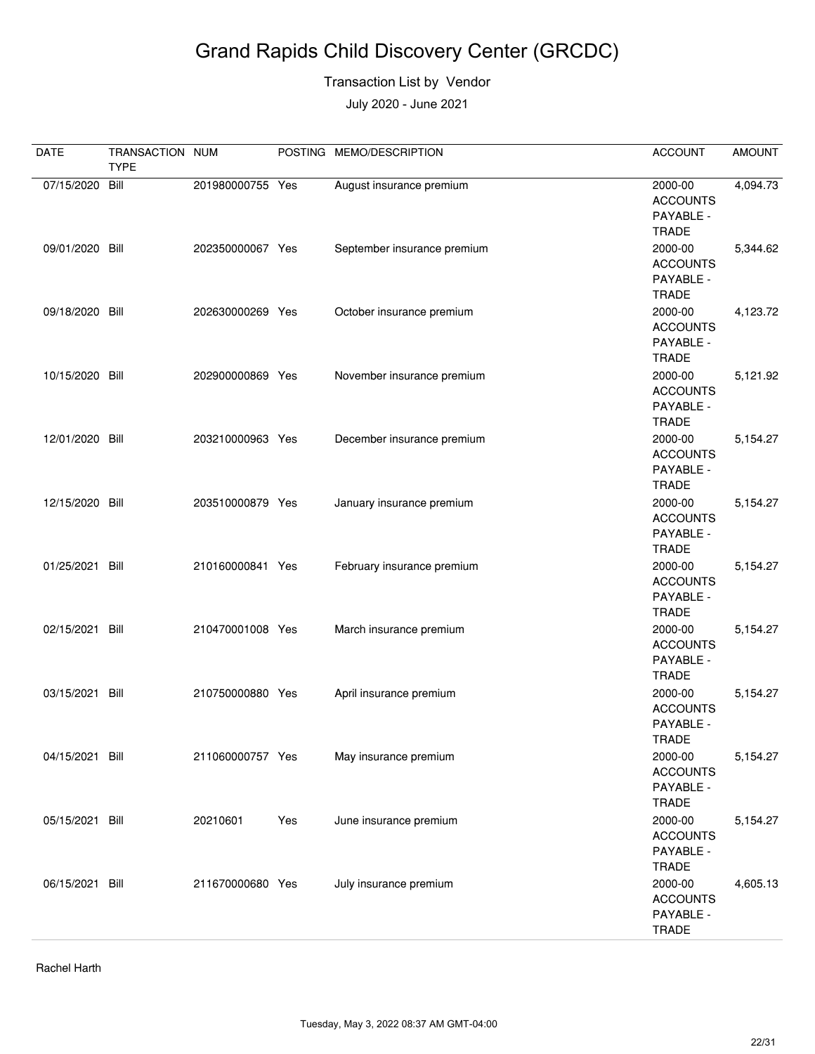#### Transaction List by Vendor

July 2020 - June 2021

| <b>DATE</b>     | TRANSACTION NUM<br><b>TYPE</b> |                  |     | POSTING MEMO/DESCRIPTION    | <b>ACCOUNT</b>                                          | <b>AMOUNT</b> |
|-----------------|--------------------------------|------------------|-----|-----------------------------|---------------------------------------------------------|---------------|
| 07/15/2020      | Bill                           | 201980000755 Yes |     | August insurance premium    | 2000-00<br><b>ACCOUNTS</b><br>PAYABLE -<br><b>TRADE</b> | 4,094.73      |
| 09/01/2020 Bill |                                | 202350000067 Yes |     | September insurance premium | 2000-00<br><b>ACCOUNTS</b><br>PAYABLE -<br><b>TRADE</b> | 5,344.62      |
| 09/18/2020      | Bill                           | 202630000269 Yes |     | October insurance premium   | 2000-00<br><b>ACCOUNTS</b><br>PAYABLE -<br><b>TRADE</b> | 4,123.72      |
| 10/15/2020 Bill |                                | 202900000869 Yes |     | November insurance premium  | 2000-00<br><b>ACCOUNTS</b><br>PAYABLE -<br><b>TRADE</b> | 5,121.92      |
| 12/01/2020 Bill |                                | 203210000963 Yes |     | December insurance premium  | 2000-00<br><b>ACCOUNTS</b><br>PAYABLE -<br><b>TRADE</b> | 5,154.27      |
| 12/15/2020 Bill |                                | 203510000879 Yes |     | January insurance premium   | 2000-00<br><b>ACCOUNTS</b><br>PAYABLE -<br><b>TRADE</b> | 5,154.27      |
| 01/25/2021      | Bill                           | 210160000841 Yes |     | February insurance premium  | 2000-00<br><b>ACCOUNTS</b><br>PAYABLE -<br><b>TRADE</b> | 5,154.27      |
| 02/15/2021      | Bill                           | 210470001008 Yes |     | March insurance premium     | 2000-00<br><b>ACCOUNTS</b><br>PAYABLE -<br><b>TRADE</b> | 5,154.27      |
| 03/15/2021      | Bill                           | 210750000880 Yes |     | April insurance premium     | 2000-00<br><b>ACCOUNTS</b><br>PAYABLE -<br><b>TRADE</b> | 5,154.27      |
| 04/15/2021 Bill |                                | 211060000757 Yes |     | May insurance premium       | 2000-00<br><b>ACCOUNTS</b><br>PAYABLE -<br><b>TRADE</b> | 5,154.27      |
| 05/15/2021 Bill |                                | 20210601         | Yes | June insurance premium      | 2000-00<br><b>ACCOUNTS</b><br>PAYABLE -<br><b>TRADE</b> | 5,154.27      |
| 06/15/2021 Bill |                                | 211670000680 Yes |     | July insurance premium      | 2000-00<br><b>ACCOUNTS</b><br>PAYABLE -<br><b>TRADE</b> | 4,605.13      |

Rachel Harth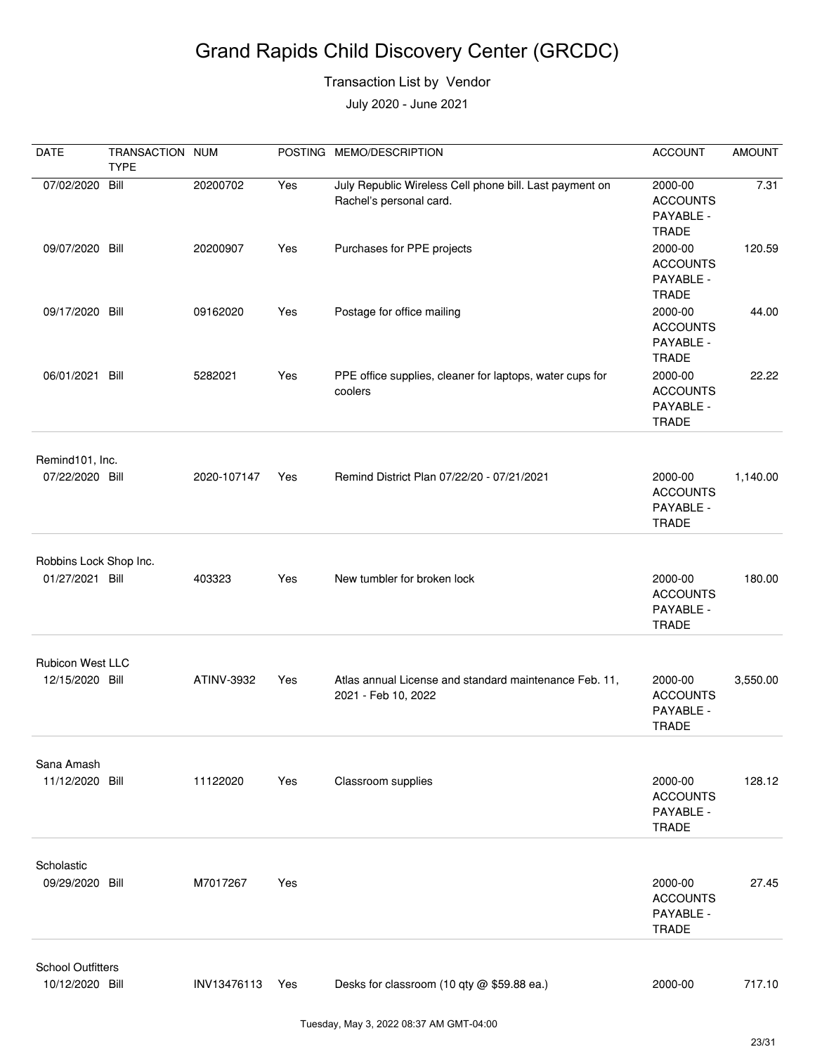#### Transaction List by Vendor

| DATE                     | TRANSACTION NUM<br><b>TYPE</b> |             |     | POSTING MEMO/DESCRIPTION                                                           | <b>ACCOUNT</b>                                          | <b>AMOUNT</b> |
|--------------------------|--------------------------------|-------------|-----|------------------------------------------------------------------------------------|---------------------------------------------------------|---------------|
| 07/02/2020 Bill          |                                | 20200702    | Yes | July Republic Wireless Cell phone bill. Last payment on<br>Rachel's personal card. | 2000-00<br><b>ACCOUNTS</b><br>PAYABLE -<br><b>TRADE</b> | 7.31          |
| 09/07/2020 Bill          |                                | 20200907    | Yes | Purchases for PPE projects                                                         | 2000-00<br><b>ACCOUNTS</b><br>PAYABLE -<br><b>TRADE</b> | 120.59        |
| 09/17/2020 Bill          |                                | 09162020    | Yes | Postage for office mailing                                                         | 2000-00<br><b>ACCOUNTS</b><br>PAYABLE -<br><b>TRADE</b> | 44.00         |
| 06/01/2021 Bill          |                                | 5282021     | Yes | PPE office supplies, cleaner for laptops, water cups for<br>coolers                | 2000-00<br><b>ACCOUNTS</b><br>PAYABLE -<br><b>TRADE</b> | 22.22         |
| Remind101, Inc.          |                                |             |     |                                                                                    |                                                         |               |
| 07/22/2020 Bill          |                                | 2020-107147 | Yes | Remind District Plan 07/22/20 - 07/21/2021                                         | 2000-00<br><b>ACCOUNTS</b><br>PAYABLE -<br><b>TRADE</b> | 1,140.00      |
| Robbins Lock Shop Inc.   |                                |             |     |                                                                                    |                                                         |               |
| 01/27/2021 Bill          |                                | 403323      | Yes | New tumbler for broken lock                                                        | 2000-00<br><b>ACCOUNTS</b><br>PAYABLE -<br><b>TRADE</b> | 180.00        |
| Rubicon West LLC         |                                |             |     |                                                                                    |                                                         |               |
| 12/15/2020 Bill          |                                | ATINV-3932  | Yes | Atlas annual License and standard maintenance Feb. 11,<br>2021 - Feb 10, 2022      | 2000-00<br><b>ACCOUNTS</b><br>PAYABLE -<br><b>TRADE</b> | 3,550.00      |
| Sana Amash               |                                |             |     |                                                                                    |                                                         |               |
| 11/12/2020 Bill          |                                | 11122020    | Yes | Classroom supplies                                                                 | 2000-00<br><b>ACCOUNTS</b><br>PAYABLE -<br><b>TRADE</b> | 128.12        |
| Scholastic               |                                |             |     |                                                                                    |                                                         |               |
| 09/29/2020 Bill          |                                | M7017267    | Yes |                                                                                    | 2000-00<br><b>ACCOUNTS</b><br>PAYABLE -<br><b>TRADE</b> | 27.45         |
| <b>School Outfitters</b> |                                |             |     |                                                                                    |                                                         |               |
| 10/12/2020 Bill          |                                | INV13476113 | Yes | Desks for classroom (10 qty @ \$59.88 ea.)                                         | 2000-00                                                 | 717.10        |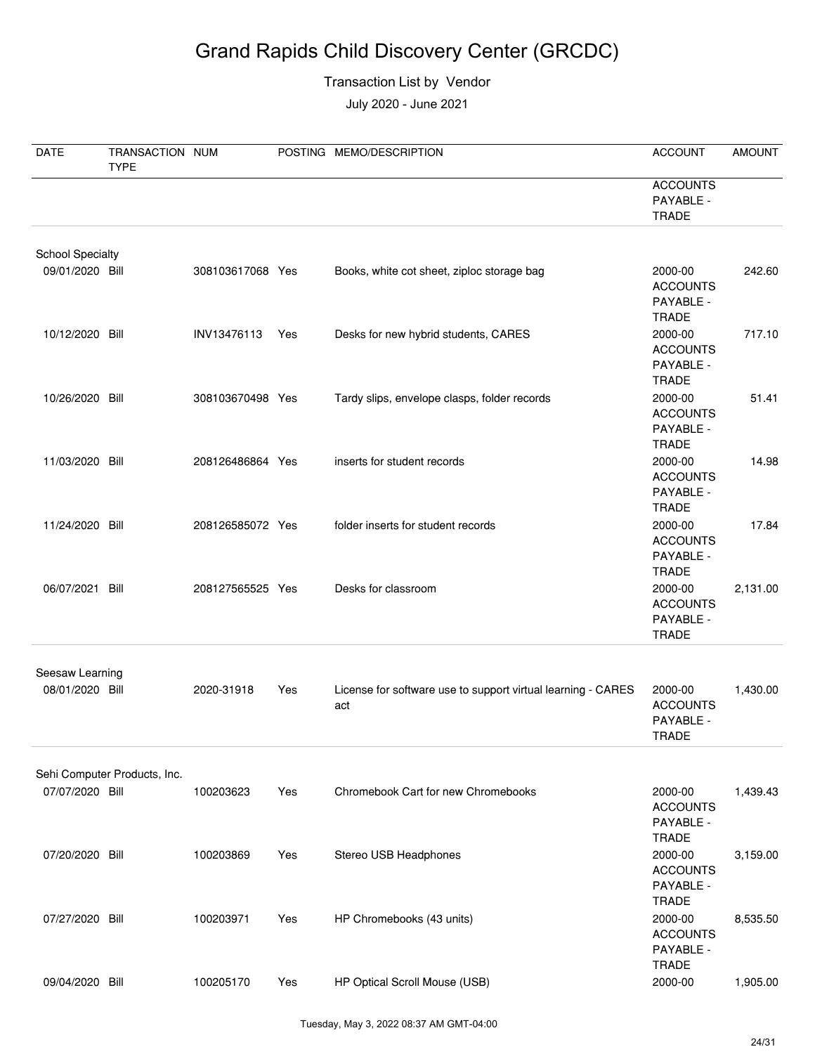#### Transaction List by Vendor

| DATE                               | TRANSACTION NUM<br><b>TYPE</b> |                  |     | POSTING MEMO/DESCRIPTION                                            | <b>ACCOUNT</b>                                                          | <b>AMOUNT</b> |
|------------------------------------|--------------------------------|------------------|-----|---------------------------------------------------------------------|-------------------------------------------------------------------------|---------------|
|                                    |                                |                  |     |                                                                     | <b>ACCOUNTS</b><br>PAYABLE -<br><b>TRADE</b>                            |               |
| <b>School Specialty</b>            |                                |                  |     |                                                                     |                                                                         |               |
| 09/01/2020 Bill                    |                                | 308103617068 Yes |     | Books, white cot sheet, ziploc storage bag                          | 2000-00<br><b>ACCOUNTS</b><br>PAYABLE -<br><b>TRADE</b>                 | 242.60        |
| 10/12/2020 Bill                    |                                | INV13476113      | Yes | Desks for new hybrid students, CARES                                | 2000-00<br><b>ACCOUNTS</b><br>PAYABLE -<br><b>TRADE</b>                 | 717.10        |
| 10/26/2020 Bill                    |                                | 308103670498 Yes |     | Tardy slips, envelope clasps, folder records                        | 2000-00<br><b>ACCOUNTS</b><br>PAYABLE -<br><b>TRADE</b>                 | 51.41         |
| 11/03/2020 Bill                    |                                | 208126486864 Yes |     | inserts for student records                                         | 2000-00<br><b>ACCOUNTS</b><br>PAYABLE -<br><b>TRADE</b>                 | 14.98         |
| 11/24/2020 Bill                    |                                | 208126585072 Yes |     | folder inserts for student records                                  | 2000-00<br><b>ACCOUNTS</b><br>PAYABLE -<br><b>TRADE</b>                 | 17.84         |
| 06/07/2021                         | Bill                           | 208127565525 Yes |     | Desks for classroom                                                 | 2000-00<br><b>ACCOUNTS</b><br>PAYABLE -<br><b>TRADE</b>                 | 2,131.00      |
|                                    |                                |                  |     |                                                                     |                                                                         |               |
| Seesaw Learning<br>08/01/2020 Bill |                                | 2020-31918       | Yes | License for software use to support virtual learning - CARES<br>act | 2000-00<br><b>ACCOUNTS</b><br>PAYABLE -<br><b>TRADE</b>                 | 1,430.00      |
|                                    |                                |                  |     |                                                                     |                                                                         |               |
| 07/07/2020 Bill                    | Sehi Computer Products, Inc.   | 100203623        | Yes | Chromebook Cart for new Chromebooks                                 | 2000-00<br><b>ACCOUNTS</b><br>PAYABLE -                                 | 1,439.43      |
| 07/20/2020 Bill                    |                                | 100203869        | Yes | Stereo USB Headphones                                               | <b>TRADE</b><br>2000-00<br><b>ACCOUNTS</b><br>PAYABLE -<br><b>TRADE</b> | 3,159.00      |
| 07/27/2020 Bill                    |                                | 100203971        | Yes | HP Chromebooks (43 units)                                           | 2000-00<br><b>ACCOUNTS</b><br>PAYABLE -<br><b>TRADE</b>                 | 8,535.50      |
| 09/04/2020 Bill                    |                                | 100205170        | Yes | HP Optical Scroll Mouse (USB)                                       | 2000-00                                                                 | 1,905.00      |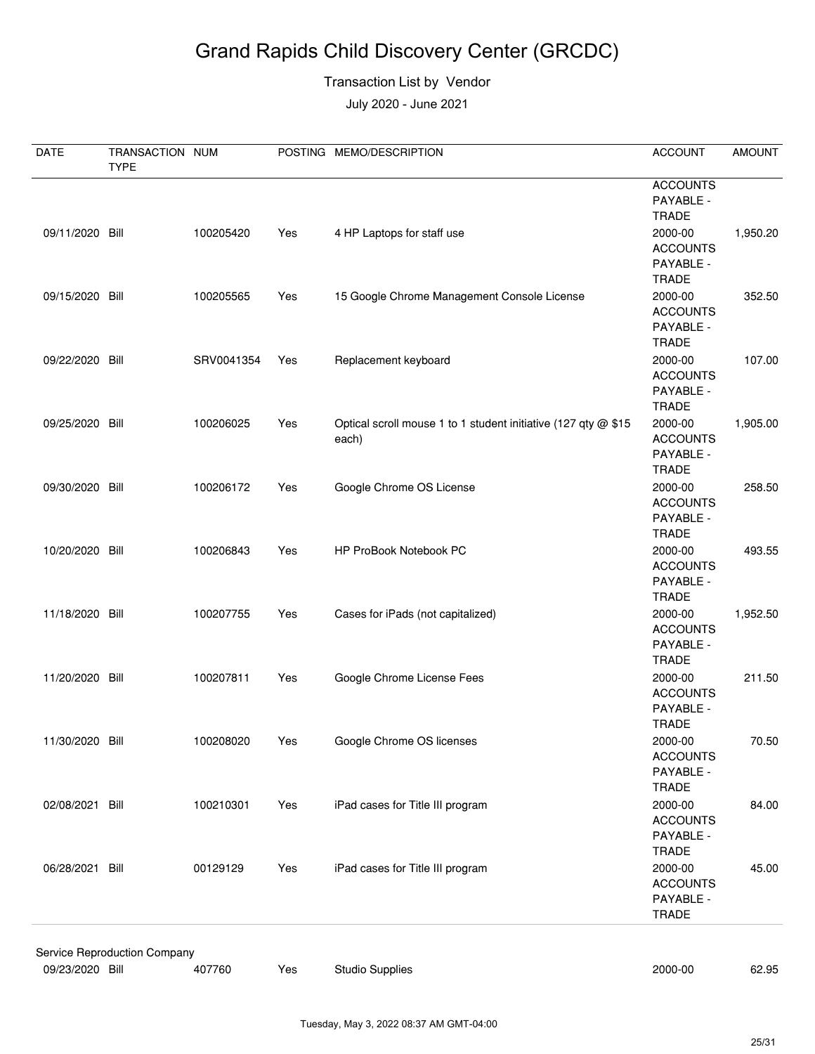#### Transaction List by Vendor

| DATE            | TRANSACTION NUM<br><b>TYPE</b> |            |     | POSTING MEMO/DESCRIPTION                                                | <b>ACCOUNT</b>                                          | <b>AMOUNT</b> |
|-----------------|--------------------------------|------------|-----|-------------------------------------------------------------------------|---------------------------------------------------------|---------------|
|                 |                                |            |     |                                                                         | <b>ACCOUNTS</b><br>PAYABLE -<br><b>TRADE</b>            |               |
| 09/11/2020 Bill |                                | 100205420  | Yes | 4 HP Laptops for staff use                                              | 2000-00<br><b>ACCOUNTS</b><br>PAYABLE -<br><b>TRADE</b> | 1,950.20      |
| 09/15/2020      | Bill                           | 100205565  | Yes | 15 Google Chrome Management Console License                             | 2000-00<br><b>ACCOUNTS</b><br>PAYABLE -<br><b>TRADE</b> | 352.50        |
| 09/22/2020      | Bill                           | SRV0041354 | Yes | Replacement keyboard                                                    | 2000-00<br><b>ACCOUNTS</b><br>PAYABLE -<br><b>TRADE</b> | 107.00        |
| 09/25/2020 Bill |                                | 100206025  | Yes | Optical scroll mouse 1 to 1 student initiative (127 qty @ \$15<br>each) | 2000-00<br><b>ACCOUNTS</b><br>PAYABLE -<br><b>TRADE</b> | 1,905.00      |
| 09/30/2020 Bill |                                | 100206172  | Yes | Google Chrome OS License                                                | 2000-00<br><b>ACCOUNTS</b><br>PAYABLE -<br><b>TRADE</b> | 258.50        |
| 10/20/2020 Bill |                                | 100206843  | Yes | HP ProBook Notebook PC                                                  | 2000-00<br><b>ACCOUNTS</b><br>PAYABLE -<br><b>TRADE</b> | 493.55        |
| 11/18/2020 Bill |                                | 100207755  | Yes | Cases for iPads (not capitalized)                                       | 2000-00<br><b>ACCOUNTS</b><br>PAYABLE -<br><b>TRADE</b> | 1,952.50      |
| 11/20/2020      | Bill                           | 100207811  | Yes | Google Chrome License Fees                                              | 2000-00<br><b>ACCOUNTS</b><br>PAYABLE -<br><b>TRADE</b> | 211.50        |
| 11/30/2020 Bill |                                | 100208020  | Yes | Google Chrome OS licenses                                               | 2000-00<br><b>ACCOUNTS</b><br>PAYABLE -<br><b>TRADE</b> | 70.50         |
| 02/08/2021 Bill |                                | 100210301  | Yes | iPad cases for Title III program                                        | 2000-00<br><b>ACCOUNTS</b><br>PAYABLE -<br><b>TRADE</b> | 84.00         |
| 06/28/2021      | Bill                           | 00129129   | Yes | iPad cases for Title III program                                        | 2000-00<br><b>ACCOUNTS</b><br>PAYABLE -<br>TRADE        | 45.00         |
|                 | Service Reproduction Company   |            |     |                                                                         |                                                         |               |
| 09/23/2020 Bill |                                | 407760     | Yes | <b>Studio Supplies</b>                                                  | 2000-00                                                 | 62.95         |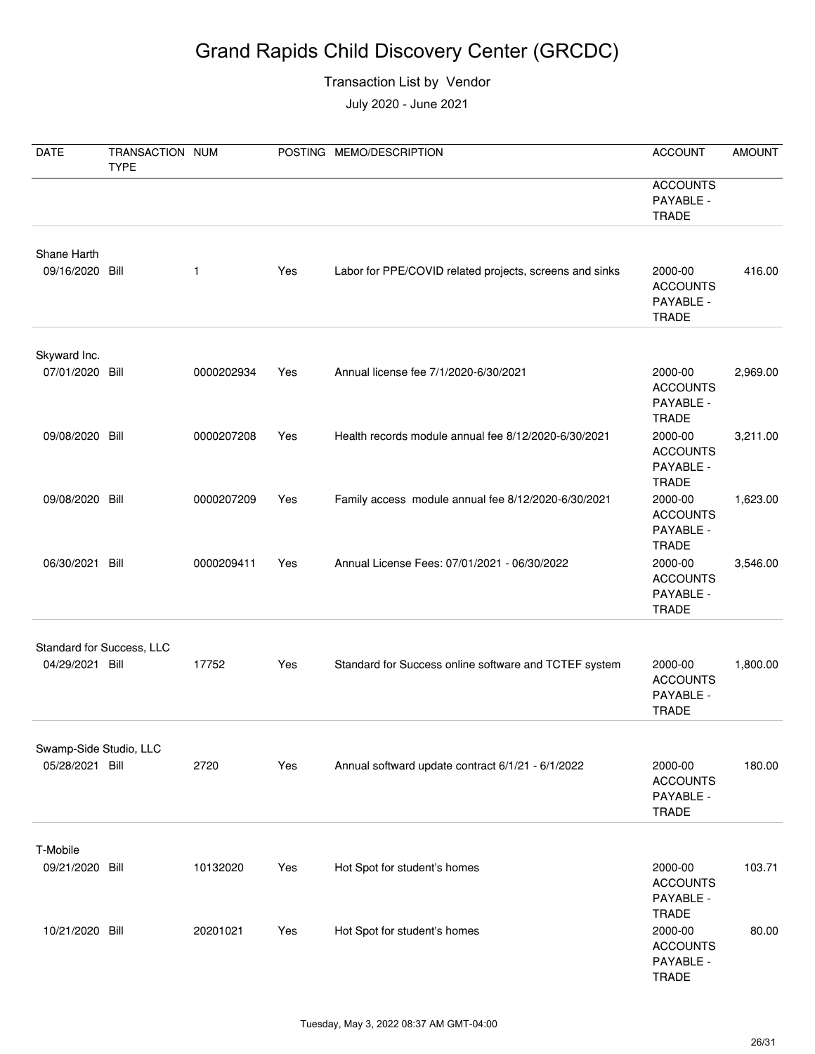#### Transaction List by Vendor

| <b>DATE</b>                               | TRANSACTION NUM<br><b>TYPE</b> |            |     | POSTING MEMO/DESCRIPTION                                | <b>ACCOUNT</b>                                                          | <b>AMOUNT</b> |
|-------------------------------------------|--------------------------------|------------|-----|---------------------------------------------------------|-------------------------------------------------------------------------|---------------|
|                                           |                                |            |     |                                                         | <b>ACCOUNTS</b><br>PAYABLE -<br><b>TRADE</b>                            |               |
| Shane Harth<br>09/16/2020 Bill            |                                | 1          | Yes | Labor for PPE/COVID related projects, screens and sinks | 2000-00<br><b>ACCOUNTS</b><br>PAYABLE -<br><b>TRADE</b>                 | 416.00        |
| Skyward Inc.<br>07/01/2020 Bill           |                                | 0000202934 | Yes | Annual license fee 7/1/2020-6/30/2021                   | 2000-00<br><b>ACCOUNTS</b><br>PAYABLE -                                 | 2,969.00      |
| 09/08/2020 Bill                           |                                | 0000207208 | Yes | Health records module annual fee 8/12/2020-6/30/2021    | <b>TRADE</b><br>2000-00<br><b>ACCOUNTS</b><br>PAYABLE -<br><b>TRADE</b> | 3,211.00      |
| 09/08/2020 Bill                           |                                | 0000207209 | Yes | Family access module annual fee 8/12/2020-6/30/2021     | 2000-00<br><b>ACCOUNTS</b><br>PAYABLE -<br><b>TRADE</b>                 | 1,623.00      |
| 06/30/2021                                | Bill                           | 0000209411 | Yes | Annual License Fees: 07/01/2021 - 06/30/2022            | 2000-00<br><b>ACCOUNTS</b><br>PAYABLE -<br><b>TRADE</b>                 | 3,546.00      |
| 04/29/2021 Bill                           | Standard for Success, LLC      | 17752      | Yes | Standard for Success online software and TCTEF system   | 2000-00<br><b>ACCOUNTS</b><br>PAYABLE -<br><b>TRADE</b>                 | 1,800.00      |
| Swamp-Side Studio, LLC<br>05/28/2021 Bill |                                | 2720       | Yes | Annual softward update contract 6/1/21 - 6/1/2022       | 2000-00<br><b>ACCOUNTS</b><br>PAYABLE -<br><b>TRADE</b>                 | 180.00        |
| T-Mobile<br>09/21/2020 Bill               |                                | 10132020   | Yes | Hot Spot for student's homes                            | 2000-00<br><b>ACCOUNTS</b><br>PAYABLE -                                 | 103.71        |
| 10/21/2020 Bill                           |                                | 20201021   | Yes | Hot Spot for student's homes                            | <b>TRADE</b><br>2000-00<br><b>ACCOUNTS</b><br>PAYABLE -<br><b>TRADE</b> | 80.00         |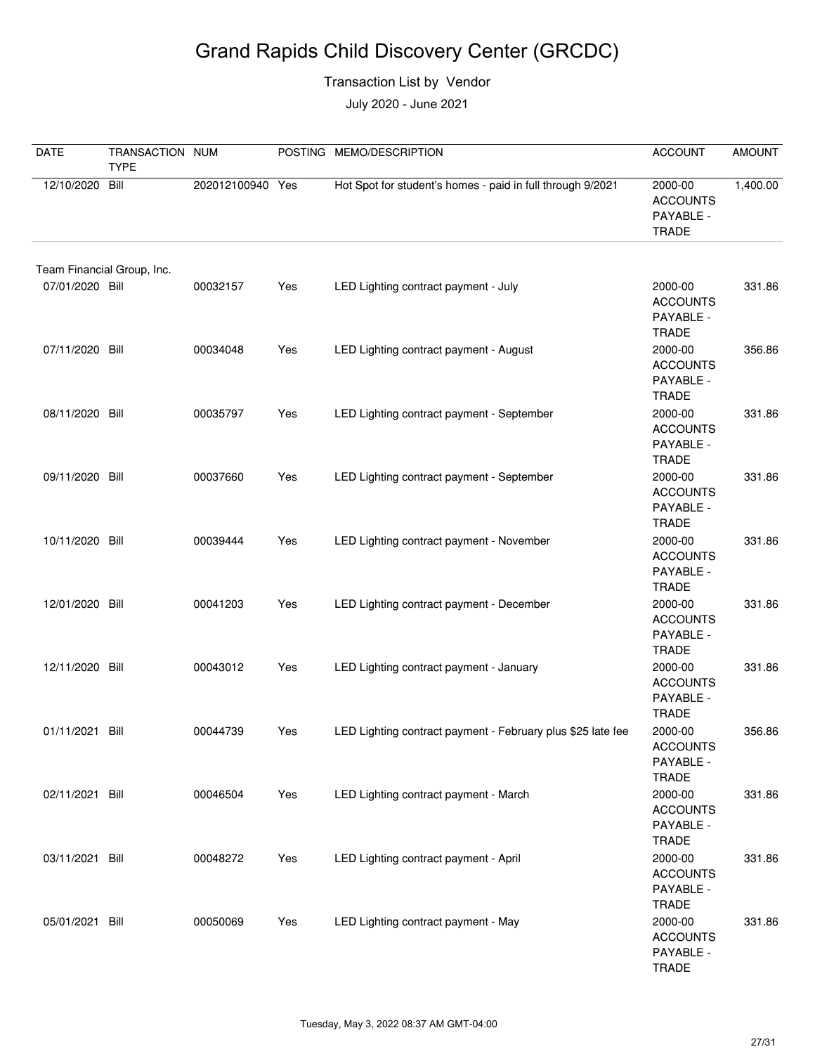#### Transaction List by Vendor

| <b>DATE</b>                | TRANSACTION NUM<br><b>TYPE</b> |                  |     | POSTING MEMO/DESCRIPTION                                    | <b>ACCOUNT</b>                                                          | <b>AMOUNT</b> |
|----------------------------|--------------------------------|------------------|-----|-------------------------------------------------------------|-------------------------------------------------------------------------|---------------|
| 12/10/2020                 | Bill                           | 202012100940 Yes |     | Hot Spot for student's homes - paid in full through 9/2021  | 2000-00<br><b>ACCOUNTS</b><br>PAYABLE -<br><b>TRADE</b>                 | 1,400.00      |
| Team Financial Group, Inc. |                                |                  |     |                                                             |                                                                         |               |
| 07/01/2020 Bill            |                                | 00032157         | Yes | LED Lighting contract payment - July                        | 2000-00<br><b>ACCOUNTS</b><br>PAYABLE -<br><b>TRADE</b>                 | 331.86        |
| 07/11/2020 Bill            |                                | 00034048         | Yes | LED Lighting contract payment - August                      | 2000-00<br><b>ACCOUNTS</b><br>PAYABLE -<br><b>TRADE</b>                 | 356.86        |
| 08/11/2020 Bill            |                                | 00035797         | Yes | LED Lighting contract payment - September                   | 2000-00<br><b>ACCOUNTS</b><br>PAYABLE -<br><b>TRADE</b>                 | 331.86        |
| 09/11/2020 Bill            |                                | 00037660         | Yes | LED Lighting contract payment - September                   | 2000-00<br><b>ACCOUNTS</b><br>PAYABLE -<br><b>TRADE</b>                 | 331.86        |
| 10/11/2020 Bill            |                                | 00039444         | Yes | LED Lighting contract payment - November                    | 2000-00<br><b>ACCOUNTS</b><br>PAYABLE -<br><b>TRADE</b>                 | 331.86        |
| 12/01/2020 Bill            |                                | 00041203         | Yes | LED Lighting contract payment - December                    | 2000-00<br><b>ACCOUNTS</b><br>PAYABLE -<br><b>TRADE</b>                 | 331.86        |
| 12/11/2020 Bill            |                                | 00043012         | Yes | LED Lighting contract payment - January                     | 2000-00<br><b>ACCOUNTS</b><br>PAYABLE -<br><b>TRADE</b>                 | 331.86        |
| 01/11/2021 Bill            |                                | 00044739         | Yes | LED Lighting contract payment - February plus \$25 late fee | 2000-00<br><b>ACCOUNTS</b><br>PAYABLE -                                 | 356.86        |
| 02/11/2021 Bill            |                                | 00046504         | Yes | LED Lighting contract payment - March                       | TRADE<br>2000-00<br><b>ACCOUNTS</b><br>PAYABLE -                        | 331.86        |
| 03/11/2021 Bill            |                                | 00048272         | Yes | LED Lighting contract payment - April                       | <b>TRADE</b><br>2000-00<br><b>ACCOUNTS</b><br>PAYABLE -<br><b>TRADE</b> | 331.86        |
| 05/01/2021 Bill            |                                | 00050069         | Yes | LED Lighting contract payment - May                         | 2000-00<br><b>ACCOUNTS</b><br>PAYABLE -<br>TRADE                        | 331.86        |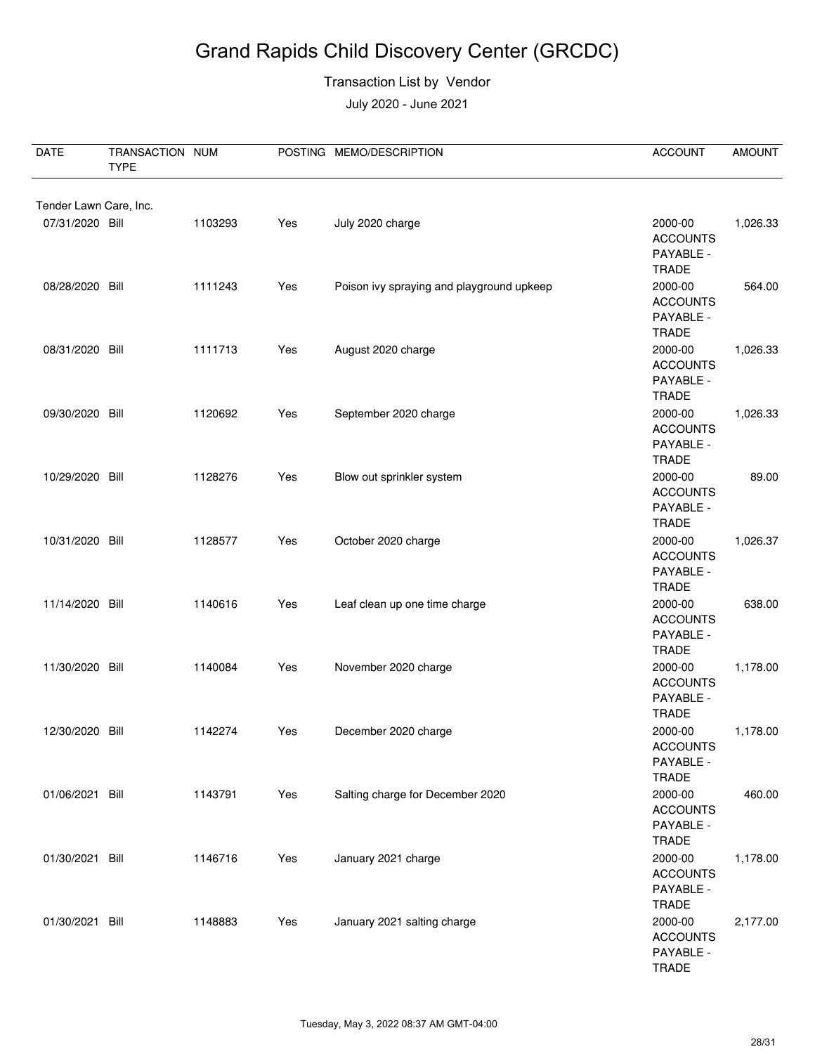#### Transaction List by Vendor

| DATE            | TRANSACTION NUM<br><b>TYPE</b> |         |     | POSTING MEMO/DESCRIPTION                  | <b>ACCOUNT</b>                                          | <b>AMOUNT</b> |  |  |  |
|-----------------|--------------------------------|---------|-----|-------------------------------------------|---------------------------------------------------------|---------------|--|--|--|
|                 | Tender Lawn Care, Inc.         |         |     |                                           |                                                         |               |  |  |  |
| 07/31/2020 Bill |                                | 1103293 | Yes | July 2020 charge                          | 2000-00<br><b>ACCOUNTS</b><br>PAYABLE -<br><b>TRADE</b> | 1,026.33      |  |  |  |
| 08/28/2020 Bill |                                | 1111243 | Yes | Poison ivy spraying and playground upkeep | 2000-00<br><b>ACCOUNTS</b><br>PAYABLE -<br><b>TRADE</b> | 564.00        |  |  |  |
| 08/31/2020 Bill |                                | 1111713 | Yes | August 2020 charge                        | 2000-00<br><b>ACCOUNTS</b><br>PAYABLE -<br><b>TRADE</b> | 1,026.33      |  |  |  |
| 09/30/2020 Bill |                                | 1120692 | Yes | September 2020 charge                     | 2000-00<br><b>ACCOUNTS</b><br>PAYABLE -<br><b>TRADE</b> | 1,026.33      |  |  |  |
| 10/29/2020 Bill |                                | 1128276 | Yes | Blow out sprinkler system                 | 2000-00<br><b>ACCOUNTS</b><br>PAYABLE -<br><b>TRADE</b> | 89.00         |  |  |  |
| 10/31/2020 Bill |                                | 1128577 | Yes | October 2020 charge                       | 2000-00<br><b>ACCOUNTS</b><br>PAYABLE -<br><b>TRADE</b> | 1,026.37      |  |  |  |
| 11/14/2020 Bill |                                | 1140616 | Yes | Leaf clean up one time charge             | 2000-00<br><b>ACCOUNTS</b><br>PAYABLE -<br><b>TRADE</b> | 638.00        |  |  |  |
| 11/30/2020 Bill |                                | 1140084 | Yes | November 2020 charge                      | 2000-00<br><b>ACCOUNTS</b><br>PAYABLE -<br>TRADE        | 1,178.00      |  |  |  |
| 12/30/2020 Bill |                                | 1142274 | Yes | December 2020 charge                      | 2000-00<br><b>ACCOUNTS</b><br>PAYABLE -<br><b>TRADE</b> | 1,178.00      |  |  |  |
| 01/06/2021 Bill |                                | 1143791 | Yes | Salting charge for December 2020          | 2000-00<br><b>ACCOUNTS</b><br>PAYABLE -<br><b>TRADE</b> | 460.00        |  |  |  |
| 01/30/2021 Bill |                                | 1146716 | Yes | January 2021 charge                       | 2000-00<br><b>ACCOUNTS</b><br>PAYABLE -<br><b>TRADE</b> | 1,178.00      |  |  |  |
| 01/30/2021 Bill |                                | 1148883 | Yes | January 2021 salting charge               | 2000-00<br><b>ACCOUNTS</b><br>PAYABLE -<br>TRADE        | 2,177.00      |  |  |  |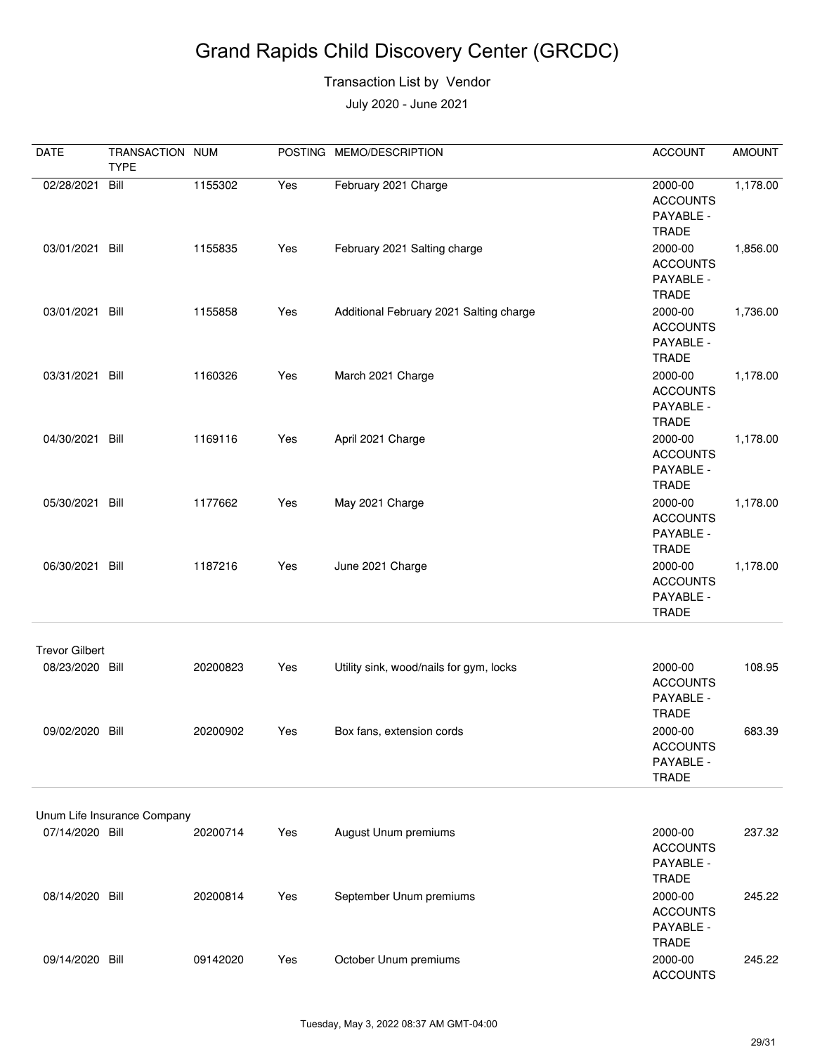#### Transaction List by Vendor

| <b>DATE</b>                              | TRANSACTION NUM<br><b>TYPE</b> |          |     | POSTING MEMO/DESCRIPTION                | <b>ACCOUNT</b>                                          | <b>AMOUNT</b> |
|------------------------------------------|--------------------------------|----------|-----|-----------------------------------------|---------------------------------------------------------|---------------|
| 02/28/2021                               | Bill                           | 1155302  | Yes | February 2021 Charge                    | 2000-00<br><b>ACCOUNTS</b><br>PAYABLE -<br><b>TRADE</b> | 1,178.00      |
| 03/01/2021 Bill                          |                                | 1155835  | Yes | February 2021 Salting charge            | 2000-00<br><b>ACCOUNTS</b><br>PAYABLE -<br><b>TRADE</b> | 1,856.00      |
| 03/01/2021                               | Bill                           | 1155858  | Yes | Additional February 2021 Salting charge | 2000-00<br><b>ACCOUNTS</b><br>PAYABLE -<br><b>TRADE</b> | 1,736.00      |
| 03/31/2021 Bill                          |                                | 1160326  | Yes | March 2021 Charge                       | 2000-00<br><b>ACCOUNTS</b><br>PAYABLE -<br><b>TRADE</b> | 1,178.00      |
| 04/30/2021 Bill                          |                                | 1169116  | Yes | April 2021 Charge                       | 2000-00<br><b>ACCOUNTS</b><br>PAYABLE -<br><b>TRADE</b> | 1,178.00      |
| 05/30/2021 Bill                          |                                | 1177662  | Yes | May 2021 Charge                         | 2000-00<br><b>ACCOUNTS</b><br>PAYABLE -<br><b>TRADE</b> | 1,178.00      |
| 06/30/2021                               | Bill                           | 1187216  | Yes | June 2021 Charge                        | 2000-00<br><b>ACCOUNTS</b><br>PAYABLE -<br><b>TRADE</b> | 1,178.00      |
| <b>Trevor Gilbert</b><br>08/23/2020 Bill |                                | 20200823 | Yes | Utility sink, wood/nails for gym, locks | 2000-00<br><b>ACCOUNTS</b><br>PAYABLE -<br><b>TRADE</b> | 108.95        |
| 09/02/2020 Bill                          |                                | 20200902 | Yes | Box fans, extension cords               | 2000-00<br><b>ACCOUNTS</b><br>PAYABLE -<br><b>TRADE</b> | 683.39        |
|                                          | Unum Life Insurance Company    |          |     |                                         |                                                         |               |
| 07/14/2020 Bill                          |                                | 20200714 | Yes | August Unum premiums                    | 2000-00<br><b>ACCOUNTS</b><br>PAYABLE -<br><b>TRADE</b> | 237.32        |
| 08/14/2020 Bill                          |                                | 20200814 | Yes | September Unum premiums                 | 2000-00<br><b>ACCOUNTS</b><br>PAYABLE -<br><b>TRADE</b> | 245.22        |
| 09/14/2020 Bill                          |                                | 09142020 | Yes | October Unum premiums                   | 2000-00<br><b>ACCOUNTS</b>                              | 245.22        |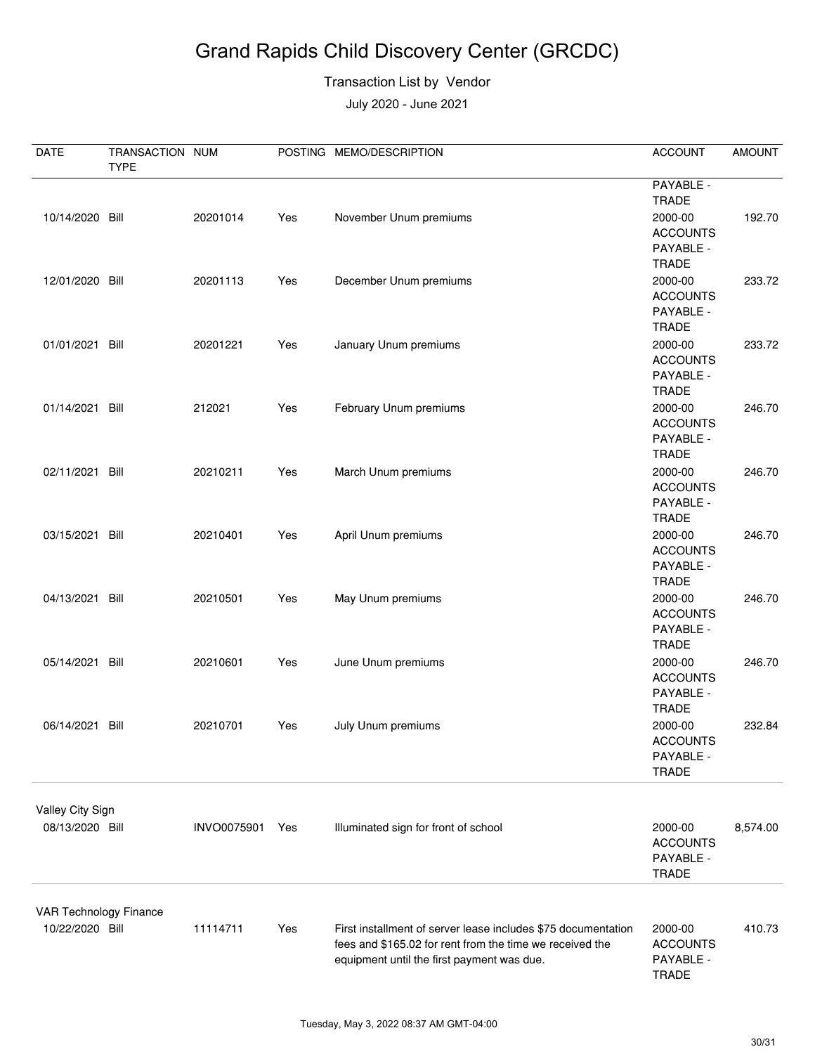#### Transaction List by Vendor

| <b>DATE</b>                               | TRANSACTION NUM<br><b>TYPE</b> |             |     | POSTING MEMO/DESCRIPTION                                                                                                                                                | <b>ACCOUNT</b>                                          | <b>AMOUNT</b> |
|-------------------------------------------|--------------------------------|-------------|-----|-------------------------------------------------------------------------------------------------------------------------------------------------------------------------|---------------------------------------------------------|---------------|
| 10/14/2020 Bill                           |                                | 20201014    | Yes | November Unum premiums                                                                                                                                                  | PAYABLE -<br><b>TRADE</b><br>2000-00                    | 192.70        |
|                                           |                                |             |     |                                                                                                                                                                         | <b>ACCOUNTS</b><br>PAYABLE -<br><b>TRADE</b>            |               |
| 12/01/2020 Bill                           |                                | 20201113    | Yes | December Unum premiums                                                                                                                                                  | 2000-00<br><b>ACCOUNTS</b><br>PAYABLE -<br><b>TRADE</b> | 233.72        |
| 01/01/2021 Bill                           |                                | 20201221    | Yes | January Unum premiums                                                                                                                                                   | 2000-00<br><b>ACCOUNTS</b><br>PAYABLE -<br><b>TRADE</b> | 233.72        |
| 01/14/2021 Bill                           |                                | 212021      | Yes | February Unum premiums                                                                                                                                                  | 2000-00<br><b>ACCOUNTS</b><br>PAYABLE -<br><b>TRADE</b> | 246.70        |
| 02/11/2021 Bill                           |                                | 20210211    | Yes | March Unum premiums                                                                                                                                                     | 2000-00<br><b>ACCOUNTS</b><br>PAYABLE -<br><b>TRADE</b> | 246.70        |
| 03/15/2021 Bill                           |                                | 20210401    | Yes | April Unum premiums                                                                                                                                                     | 2000-00<br><b>ACCOUNTS</b><br>PAYABLE -<br><b>TRADE</b> | 246.70        |
| 04/13/2021 Bill                           |                                | 20210501    | Yes | May Unum premiums                                                                                                                                                       | 2000-00<br><b>ACCOUNTS</b><br>PAYABLE -<br><b>TRADE</b> | 246.70        |
| 05/14/2021 Bill                           |                                | 20210601    | Yes | June Unum premiums                                                                                                                                                      | 2000-00<br><b>ACCOUNTS</b><br>PAYABLE -<br><b>TRADE</b> | 246.70        |
| 06/14/2021 Bill                           |                                | 20210701    | Yes | July Unum premiums                                                                                                                                                      | 2000-00<br><b>ACCOUNTS</b><br>PAYABLE -<br><b>TRADE</b> | 232.84        |
| Valley City Sign<br>08/13/2020 Bill       |                                | INVO0075901 | Yes | Illuminated sign for front of school                                                                                                                                    | 2000-00<br><b>ACCOUNTS</b><br>PAYABLE -<br><b>TRADE</b> | 8,574.00      |
| VAR Technology Finance<br>10/22/2020 Bill |                                | 11114711    | Yes | First installment of server lease includes \$75 documentation<br>fees and \$165.02 for rent from the time we received the<br>equipment until the first payment was due. | 2000-00<br><b>ACCOUNTS</b><br>PAYABLE -<br>TRADE        | 410.73        |